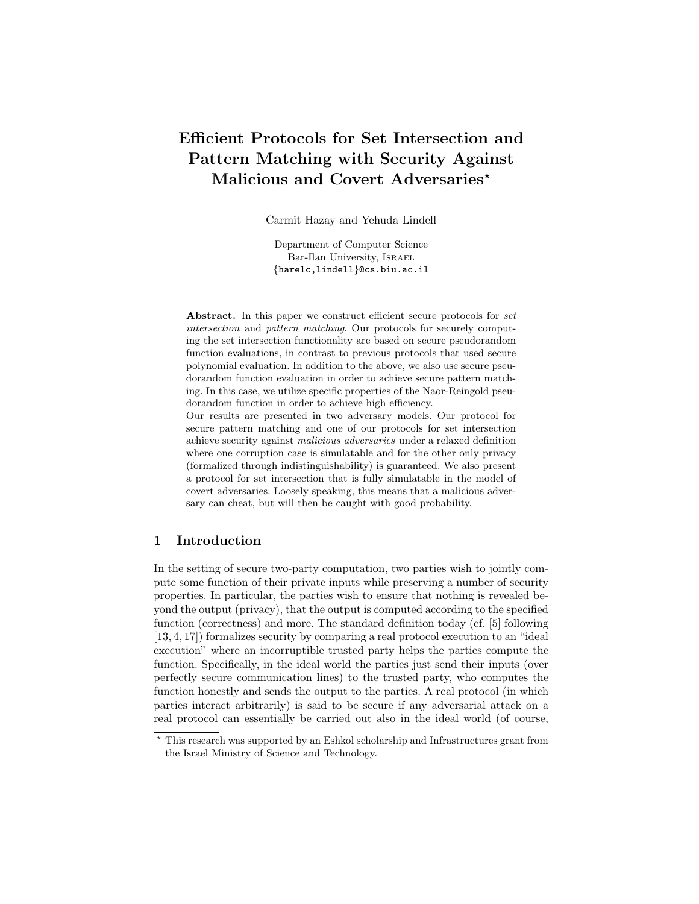# Efficient Protocols for Set Intersection and Pattern Matching with Security Against Malicious and Covert Adversaries<sup>\*</sup>

Carmit Hazay and Yehuda Lindell

Department of Computer Science Bar-Ilan University, ISRAEL {harelc,lindell}@cs.biu.ac.il

Abstract. In this paper we construct efficient secure protocols for set intersection and pattern matching. Our protocols for securely computing the set intersection functionality are based on secure pseudorandom function evaluations, in contrast to previous protocols that used secure polynomial evaluation. In addition to the above, we also use secure pseudorandom function evaluation in order to achieve secure pattern matching. In this case, we utilize specific properties of the Naor-Reingold pseudorandom function in order to achieve high efficiency.

Our results are presented in two adversary models. Our protocol for secure pattern matching and one of our protocols for set intersection achieve security against malicious adversaries under a relaxed definition where one corruption case is simulatable and for the other only privacy (formalized through indistinguishability) is guaranteed. We also present a protocol for set intersection that is fully simulatable in the model of covert adversaries. Loosely speaking, this means that a malicious adversary can cheat, but will then be caught with good probability.

# 1 Introduction

In the setting of secure two-party computation, two parties wish to jointly compute some function of their private inputs while preserving a number of security properties. In particular, the parties wish to ensure that nothing is revealed beyond the output (privacy), that the output is computed according to the specified function (correctness) and more. The standard definition today (cf. [5] following [13, 4, 17]) formalizes security by comparing a real protocol execution to an "ideal execution" where an incorruptible trusted party helps the parties compute the function. Specifically, in the ideal world the parties just send their inputs (over perfectly secure communication lines) to the trusted party, who computes the function honestly and sends the output to the parties. A real protocol (in which parties interact arbitrarily) is said to be secure if any adversarial attack on a real protocol can essentially be carried out also in the ideal world (of course,

<sup>?</sup> This research was supported by an Eshkol scholarship and Infrastructures grant from the Israel Ministry of Science and Technology.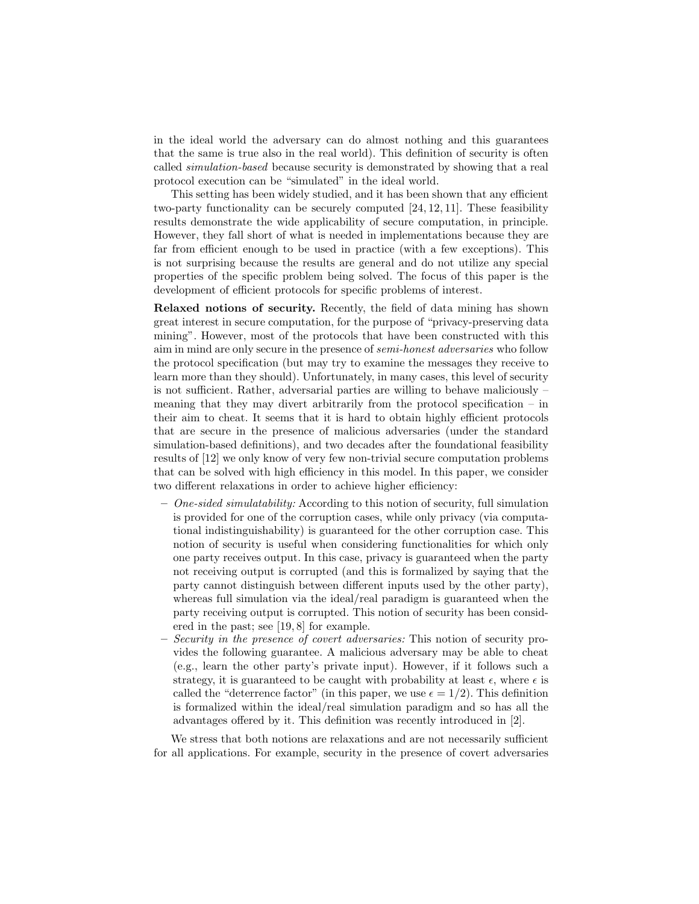in the ideal world the adversary can do almost nothing and this guarantees that the same is true also in the real world). This definition of security is often called simulation-based because security is demonstrated by showing that a real protocol execution can be "simulated" in the ideal world.

This setting has been widely studied, and it has been shown that any efficient two-party functionality can be securely computed [24, 12, 11]. These feasibility results demonstrate the wide applicability of secure computation, in principle. However, they fall short of what is needed in implementations because they are far from efficient enough to be used in practice (with a few exceptions). This is not surprising because the results are general and do not utilize any special properties of the specific problem being solved. The focus of this paper is the development of efficient protocols for specific problems of interest.

Relaxed notions of security. Recently, the field of data mining has shown great interest in secure computation, for the purpose of "privacy-preserving data mining". However, most of the protocols that have been constructed with this aim in mind are only secure in the presence of semi-honest adversaries who follow the protocol specification (but may try to examine the messages they receive to learn more than they should). Unfortunately, in many cases, this level of security is not sufficient. Rather, adversarial parties are willing to behave maliciously – meaning that they may divert arbitrarily from the protocol specification – in their aim to cheat. It seems that it is hard to obtain highly efficient protocols that are secure in the presence of malicious adversaries (under the standard simulation-based definitions), and two decades after the foundational feasibility results of [12] we only know of very few non-trivial secure computation problems that can be solved with high efficiency in this model. In this paper, we consider two different relaxations in order to achieve higher efficiency:

- $-$  One-sided simulatability: According to this notion of security, full simulation is provided for one of the corruption cases, while only privacy (via computational indistinguishability) is guaranteed for the other corruption case. This notion of security is useful when considering functionalities for which only one party receives output. In this case, privacy is guaranteed when the party not receiving output is corrupted (and this is formalized by saying that the party cannot distinguish between different inputs used by the other party), whereas full simulation via the ideal/real paradigm is guaranteed when the party receiving output is corrupted. This notion of security has been considered in the past; see [19, 8] for example.
- Security in the presence of covert adversaries: This notion of security provides the following guarantee. A malicious adversary may be able to cheat (e.g., learn the other party's private input). However, if it follows such a strategy, it is guaranteed to be caught with probability at least  $\epsilon$ , where  $\epsilon$  is called the "deterrence factor" (in this paper, we use  $\epsilon = 1/2$ ). This definition is formalized within the ideal/real simulation paradigm and so has all the advantages offered by it. This definition was recently introduced in [2].

We stress that both notions are relaxations and are not necessarily sufficient for all applications. For example, security in the presence of covert adversaries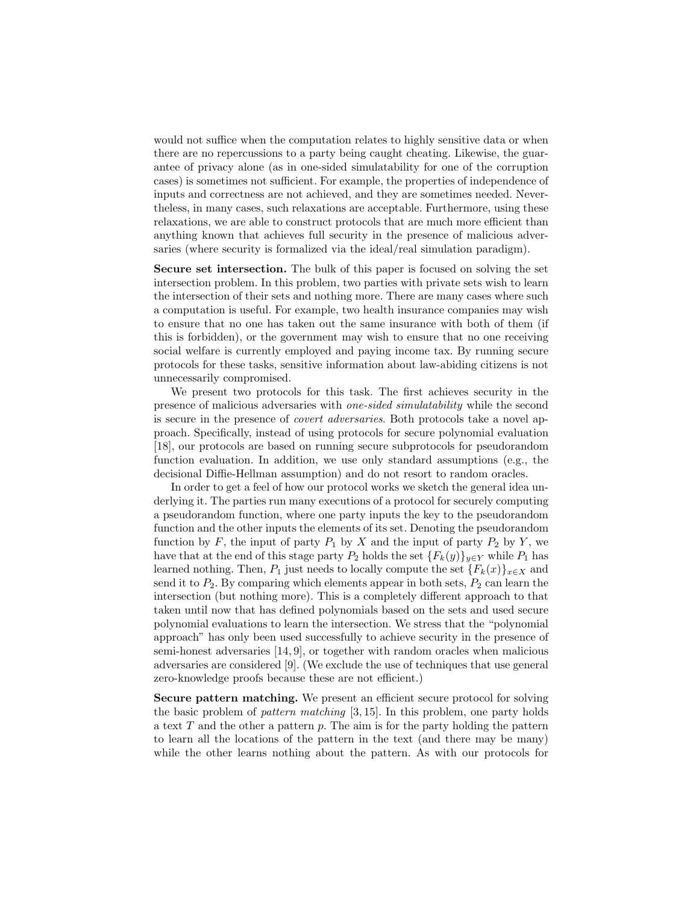would not suffice when the computation relates to highly sensitive data or when there are no repercussions to a party being caught cheating. Likewise, the guarantee of privacy alone (as in one-sided simulatability for one of the corruption cases) is sometimes not sufficient. For example, the properties of independence of inputs and correctness are not achieved, and they are sometimes needed. Nevertheless, in many cases, such relaxations are acceptable. Furthermore, using these relaxations, we are able to construct protocols that are much more efficient than anything known that achieves full security in the presence of malicious adversaries (where security is formalized via the ideal/real simulation paradigm).

Secure set intersection. The bulk of this paper is focused on solving the set intersection problem. In this problem, two parties with private sets wish to learn the intersection of their sets and nothing more. There are many cases where such a computation is useful. For example, two health insurance companies may wish to ensure that no one has taken out the same insurance with both of them (if this is forbidden), or the government may wish to ensure that no one receiving social welfare is currently employed and paying income tax. By running secure protocols for these tasks, sensitive information about law-abiding citizens is not unnecessarily compromised.

We present two protocols for this task. The first achieves security in the presence of malicious adversaries with one-sided simulatability while the second is secure in the presence of covert adversaries. Both protocols take a novel approach. Specifically, instead of using protocols for secure polynomial evaluation [18], our protocols are based on running secure subprotocols for pseudorandom function evaluation. In addition, we use only standard assumptions (e.g., the decisional Diffie-Hellman assumption) and do not resort to random oracles.

In order to get a feel of how our protocol works we sketch the general idea underlying it. The parties run many executions of a protocol for securely computing a pseudorandom function, where one party inputs the key to the pseudorandom function and the other inputs the elements of its set. Denoting the pseudorandom function by F, the input of party  $P_1$  by X and the input of party  $P_2$  by Y, we have that at the end of this stage party  $P_2$  holds the set  ${F_k(y)}_{y \in Y}$  while  $P_1$  has learned nothing. Then,  $P_1$  just needs to locally compute the set  ${F_k(x)}_{x \in X}$  and send it to  $P_2$ . By comparing which elements appear in both sets,  $P_2$  can learn the intersection (but nothing more). This is a completely different approach to that taken until now that has defined polynomials based on the sets and used secure polynomial evaluations to learn the intersection. We stress that the "polynomial approach" has only been used successfully to achieve security in the presence of semi-honest adversaries [14, 9], or together with random oracles when malicious adversaries are considered [9]. (We exclude the use of techniques that use general zero-knowledge proofs because these are not efficient.)

Secure pattern matching. We present an efficient secure protocol for solving the basic problem of pattern matching [3, 15]. In this problem, one party holds a text  $T$  and the other a pattern  $p$ . The aim is for the party holding the pattern to learn all the locations of the pattern in the text (and there may be many) while the other learns nothing about the pattern. As with our protocols for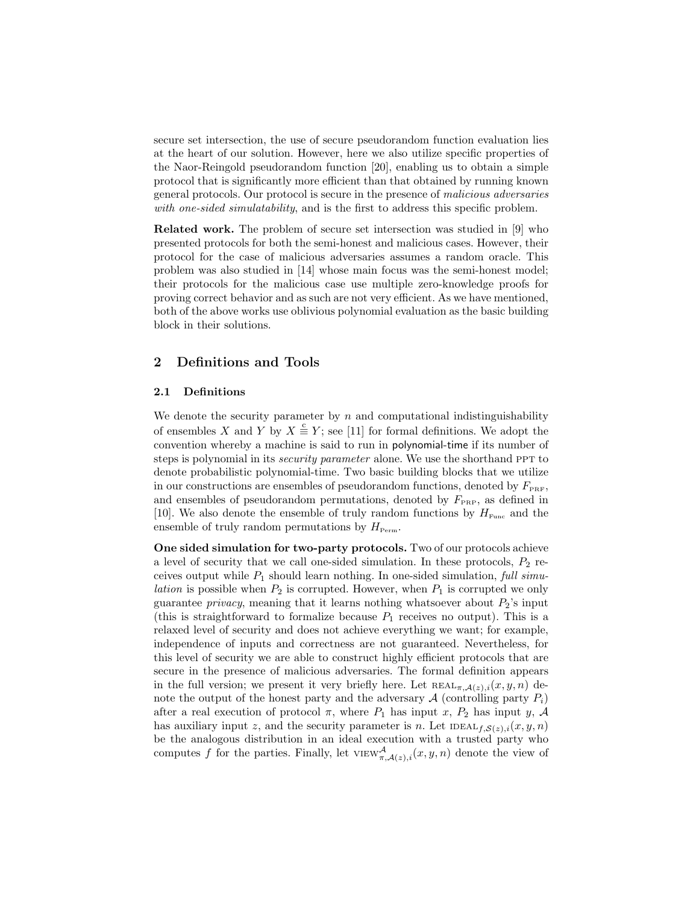secure set intersection, the use of secure pseudorandom function evaluation lies at the heart of our solution. However, here we also utilize specific properties of the Naor-Reingold pseudorandom function [20], enabling us to obtain a simple protocol that is significantly more efficient than that obtained by running known general protocols. Our protocol is secure in the presence of malicious adversaries with one-sided simulatability, and is the first to address this specific problem.

Related work. The problem of secure set intersection was studied in [9] who presented protocols for both the semi-honest and malicious cases. However, their protocol for the case of malicious adversaries assumes a random oracle. This problem was also studied in [14] whose main focus was the semi-honest model; their protocols for the malicious case use multiple zero-knowledge proofs for proving correct behavior and as such are not very efficient. As we have mentioned, both of the above works use oblivious polynomial evaluation as the basic building block in their solutions.

# 2 Definitions and Tools

### 2.1 Definitions

We denote the security parameter by  $n$  and computational indistinguishability of ensembles X and Y by  $X \triangleq Y$ ; see [11] for formal definitions. We adopt the convention whereby a machine is said to run in polynomial-time if its number of steps is polynomial in its *security parameter* alone. We use the shorthand PPT to denote probabilistic polynomial-time. Two basic building blocks that we utilize in our constructions are ensembles of pseudorandom functions, denoted by  $F_{\text{PRF}}$ , and ensembles of pseudorandom permutations, denoted by  $F_{\text{PRP}}$ , as defined in [10]. We also denote the ensemble of truly random functions by  $H_{\text{Func}}$  and the ensemble of truly random permutations by  $H_{\text{Perm}}$ .

One sided simulation for two-party protocols. Two of our protocols achieve a level of security that we call one-sided simulation. In these protocols,  $P_2$  receives output while  $P_1$  should learn nothing. In one-sided simulation, full simu*lation* is possible when  $P_2$  is corrupted. However, when  $P_1$  is corrupted we only guarantee *privacy*, meaning that it learns nothing whatsoever about  $P_2$ 's input (this is straightforward to formalize because  $P_1$  receives no output). This is a relaxed level of security and does not achieve everything we want; for example, independence of inputs and correctness are not guaranteed. Nevertheless, for this level of security we are able to construct highly efficient protocols that are secure in the presence of malicious adversaries. The formal definition appears in the full version; we present it very briefly here. Let  $REAL_{\pi,\mathcal{A}(z),i}(x, y, n)$  denote the output of the honest party and the adversary  $A$  (controlling party  $P_i$ ) after a real execution of protocol  $\pi$ , where  $P_1$  has input x,  $P_2$  has input y, A has auxiliary input z, and the security parameter is n. Let  $\text{IDEAL}_{f,\mathcal{S}(z),i}(x, y, n)$ be the analogous distribution in an ideal execution with a trusted party who computes f for the parties. Finally, let  $\text{VIEW}^{\mathcal{A}}_{\pi,\mathcal{A}(z),i}(x,y,n)$  denote the view of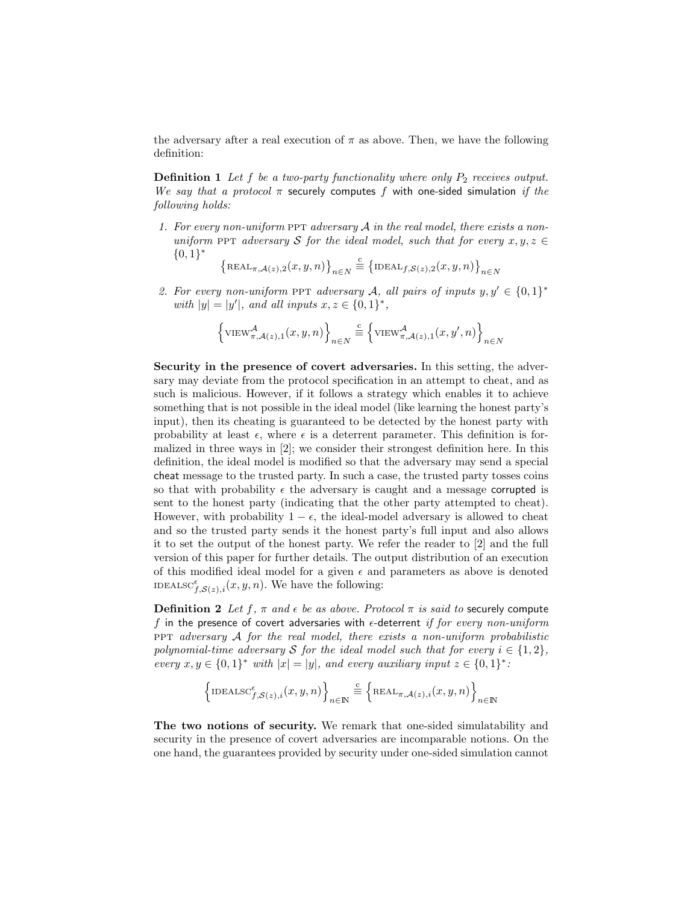the adversary after a real execution of  $\pi$  as above. Then, we have the following definition:

**Definition 1** Let f be a two-party functionality where only  $P_2$  receives output. We say that a protocol  $\pi$  securely computes  $f$  with one-sided simulation if the following holds:

1. For every non-uniform  $PPT$  adversary  $A$  in the real model, there exists a nonuniform PPT adversary S for the ideal model, such that for every  $x, y, z \in$  ${0,1}^*$ © ª  $\frac{c}{f}$ ª

$$
\left\{\text{REAL}_{\pi,\mathcal{A}(z),2}(x,y,n)\right\}_{n\in\mathbb{N}} \stackrel{\sim}{=} \left\{\text{IDEAL}_{f,\mathcal{S}(z),2}(x,y,n)\right\}_{n\in\mathbb{N}}
$$

2. For every non-uniform PPT adversary A, all pairs of inputs  $y, y' \in \{0, 1\}^*$ with  $|y| = |y'|$ , and all inputs  $x, z \in \{0, 1\}^*$ ,

$$
\Big\{\mathrm{view}^{\mathcal{A}}_{\pi,\mathcal{A}(z),1}(x,y,n)\Big\}_{n\in N}\stackrel{\text{c}}{=}\Big\{\mathrm{view}^{\mathcal{A}}_{\pi,\mathcal{A}(z),1}(x,y',n)\Big\}_{n\in N}
$$

Security in the presence of covert adversaries. In this setting, the adversary may deviate from the protocol specification in an attempt to cheat, and as such is malicious. However, if it follows a strategy which enables it to achieve something that is not possible in the ideal model (like learning the honest party's input), then its cheating is guaranteed to be detected by the honest party with probability at least  $\epsilon$ , where  $\epsilon$  is a deterrent parameter. This definition is formalized in three ways in [2]; we consider their strongest definition here. In this definition, the ideal model is modified so that the adversary may send a special cheat message to the trusted party. In such a case, the trusted party tosses coins so that with probability  $\epsilon$  the adversary is caught and a message corrupted is sent to the honest party (indicating that the other party attempted to cheat). However, with probability  $1 - \epsilon$ , the ideal-model adversary is allowed to cheat and so the trusted party sends it the honest party's full input and also allows it to set the output of the honest party. We refer the reader to [2] and the full version of this paper for further details. The output distribution of an execution of this modified ideal model for a given  $\epsilon$  and parameters as above is denoted IDEALSC<sup> $\epsilon$ </sup>, $S(z)$ , i(x, y, n). We have the following:

**Definition 2** Let f,  $\pi$  and  $\epsilon$  be as above. Protocol  $\pi$  is said to securely compute f in the presence of covert adversaries with  $\epsilon$ -deterrent if for every non-uniform  $PPT$  adversary  $A$  for the real model, there exists a non-uniform probabilistic polynomial-time adversary S for the ideal model such that for every  $i \in \{1,2\}$ , every  $x, y \in \{0, 1\}^*$  with  $|x| = |y|$ , and every auxiliary input  $z \in \{0, 1\}^*$ :

$$
\Big\{{\rm IDEALSC}_{f,\mathcal{S}(z),i}^{\epsilon}(x,y,n)\Big\}_{n\in\mathbb{N}}\overset{\rm c}{=}\Big\{{\rm REAL}_{\pi,\mathcal{A}(z),i}(x,y,n)\Big\}_{n\in\mathbb{N}}
$$

The two notions of security. We remark that one-sided simulatability and security in the presence of covert adversaries are incomparable notions. On the one hand, the guarantees provided by security under one-sided simulation cannot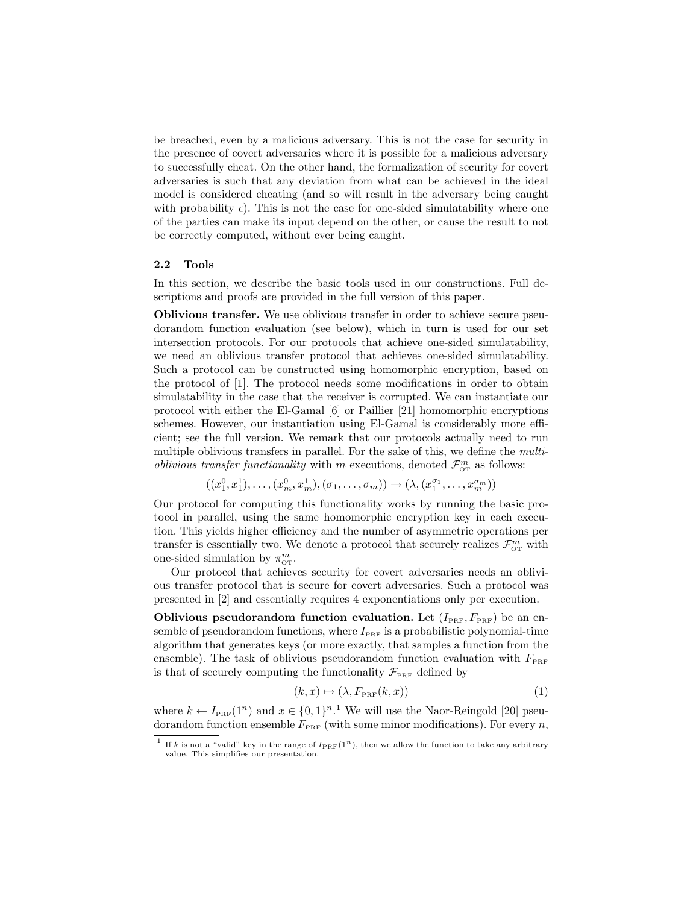be breached, even by a malicious adversary. This is not the case for security in the presence of covert adversaries where it is possible for a malicious adversary to successfully cheat. On the other hand, the formalization of security for covert adversaries is such that any deviation from what can be achieved in the ideal model is considered cheating (and so will result in the adversary being caught with probability  $\epsilon$ ). This is not the case for one-sided simulatability where one of the parties can make its input depend on the other, or cause the result to not be correctly computed, without ever being caught.

### 2.2 Tools

In this section, we describe the basic tools used in our constructions. Full descriptions and proofs are provided in the full version of this paper.

Oblivious transfer. We use oblivious transfer in order to achieve secure pseudorandom function evaluation (see below), which in turn is used for our set intersection protocols. For our protocols that achieve one-sided simulatability, we need an oblivious transfer protocol that achieves one-sided simulatability. Such a protocol can be constructed using homomorphic encryption, based on the protocol of [1]. The protocol needs some modifications in order to obtain simulatability in the case that the receiver is corrupted. We can instantiate our protocol with either the El-Gamal [6] or Paillier [21] homomorphic encryptions schemes. However, our instantiation using El-Gamal is considerably more efficient; see the full version. We remark that our protocols actually need to run multiple oblivious transfers in parallel. For the sake of this, we define the *multioblivious transfer functionality* with m executions, denoted  $\mathcal{F}_{\text{OT}}^{m}$  as follows:

$$
((x_1^0, x_1^1), \ldots, (x_m^0, x_m^1), (\sigma_1, \ldots, \sigma_m)) \rightarrow (\lambda, (x_1^{\sigma_1}, \ldots, x_m^{\sigma_m}))
$$

Our protocol for computing this functionality works by running the basic protocol in parallel, using the same homomorphic encryption key in each execution. This yields higher efficiency and the number of asymmetric operations per transfer is essentially two. We denote a protocol that securely realizes  $\mathcal{F}_{\text{OT}}^{m}$  with one-sided simulation by  $\pi_{\text{or}}^m$ .

Our protocol that achieves security for covert adversaries needs an oblivious transfer protocol that is secure for covert adversaries. Such a protocol was presented in [2] and essentially requires 4 exponentiations only per execution.

Oblivious pseudorandom function evaluation. Let  $(I_{\text{PRF}}, F_{\text{PRF}})$  be an ensemble of pseudorandom functions, where  $I_{\text{PRF}}$  is a probabilistic polynomial-time algorithm that generates keys (or more exactly, that samples a function from the ensemble). The task of oblivious pseudorandom function evaluation with  $F_{\text{PRF}}$ is that of securely computing the functionality  $\mathcal{F}_{\text{PRF}}$  defined by

$$
(k, x) \mapsto (\lambda, F_{\text{PRF}}(k, x))
$$
\n<sup>(1)</sup>

where  $k \leftarrow I_{\text{PRF}}(1^n)$  and  $x \in \{0,1\}^{n}$ . We will use the Naor-Reingold [20] pseudorandom function ensemble  $F_{\text{PRF}}$  (with some minor modifications). For every n,

<sup>&</sup>lt;sup>1</sup> If k is not a "valid" key in the range of  $I_{\text{PRF}}(1^n)$ , then we allow the function to take any arbitrary value. This simplifies our presentation.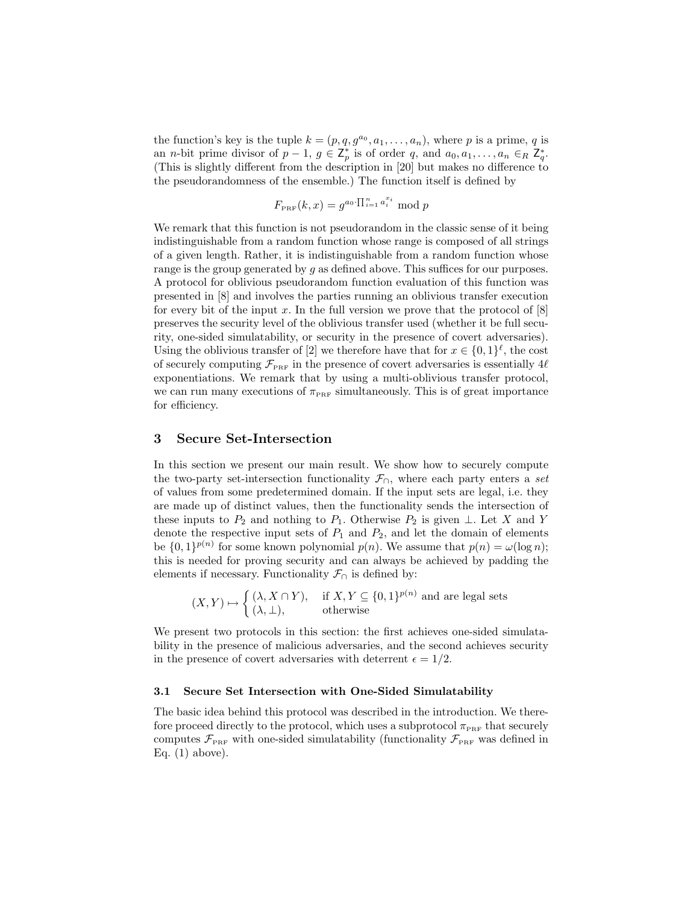the function's key is the tuple  $k = (p, q, g^{a_0}, a_1, \ldots, a_n)$ , where p is a prime, q is an *n*-bit prime divisor of  $p-1$ ,  $g \in \mathsf{Z}_p^*$  is of order q, and  $a_0, a_1, \ldots, a_n \in_R \mathsf{Z}_q^*$ . (This is slightly different from the description in [20] but makes no difference to the pseudorandomness of the ensemble.) The function itself is defined by

$$
F_{\text{PRF}}(k, x) = g^{a_0 \cdot \prod_{i=1}^n a_i^{x_i}} \mod p
$$

We remark that this function is not pseudorandom in the classic sense of it being indistinguishable from a random function whose range is composed of all strings of a given length. Rather, it is indistinguishable from a random function whose range is the group generated by  $g$  as defined above. This suffices for our purposes. A protocol for oblivious pseudorandom function evaluation of this function was presented in [8] and involves the parties running an oblivious transfer execution for every bit of the input x. In the full version we prove that the protocol of  $[8]$ preserves the security level of the oblivious transfer used (whether it be full security, one-sided simulatability, or security in the presence of covert adversaries). Using the oblivious transfer of [2] we therefore have that for  $x \in \{0,1\}^{\ell}$ , the cost of securely computing  $\mathcal{F}_{\text{PRF}}$  in the presence of covert adversaries is essentially 4 $\ell$ exponentiations. We remark that by using a multi-oblivious transfer protocol, we can run many executions of  $\pi_{\text{PRF}}$  simultaneously. This is of great importance for efficiency.

# 3 Secure Set-Intersection

In this section we present our main result. We show how to securely compute the two-party set-intersection functionality  $\mathcal{F}_{\cap}$ , where each party enters a set of values from some predetermined domain. If the input sets are legal, i.e. they are made up of distinct values, then the functionality sends the intersection of these inputs to  $P_2$  and nothing to  $P_1$ . Otherwise  $P_2$  is given ⊥. Let X and Y denote the respective input sets of  $P_1$  and  $P_2$ , and let the domain of elements be  $\{0,1\}^{p(n)}$  for some known polynomial  $p(n)$ . We assume that  $p(n) = \omega(\log n)$ ; this is needed for proving security and can always be achieved by padding the elements if necessary. Functionality  $\mathcal{F}_{\cap}$  is defined by:

 $(X, Y) \mapsto$ ½  $(\lambda, X \cap Y)$ , if  $X, Y \subseteq \{0,1\}^{p(n)}$  and are legal sets  $(\lambda, \perp),$  otherwise

We present two protocols in this section: the first achieves one-sided simulatability in the presence of malicious adversaries, and the second achieves security in the presence of covert adversaries with deterrent  $\epsilon = 1/2$ .

### 3.1 Secure Set Intersection with One-Sided Simulatability

The basic idea behind this protocol was described in the introduction. We therefore proceed directly to the protocol, which uses a subprotocol  $\pi_{\text{PRF}}$  that securely computes  $\mathcal{F}_{\text{PRF}}$  with one-sided simulatability (functionality  $\mathcal{F}_{\text{PRF}}$  was defined in Eq.  $(1)$  above).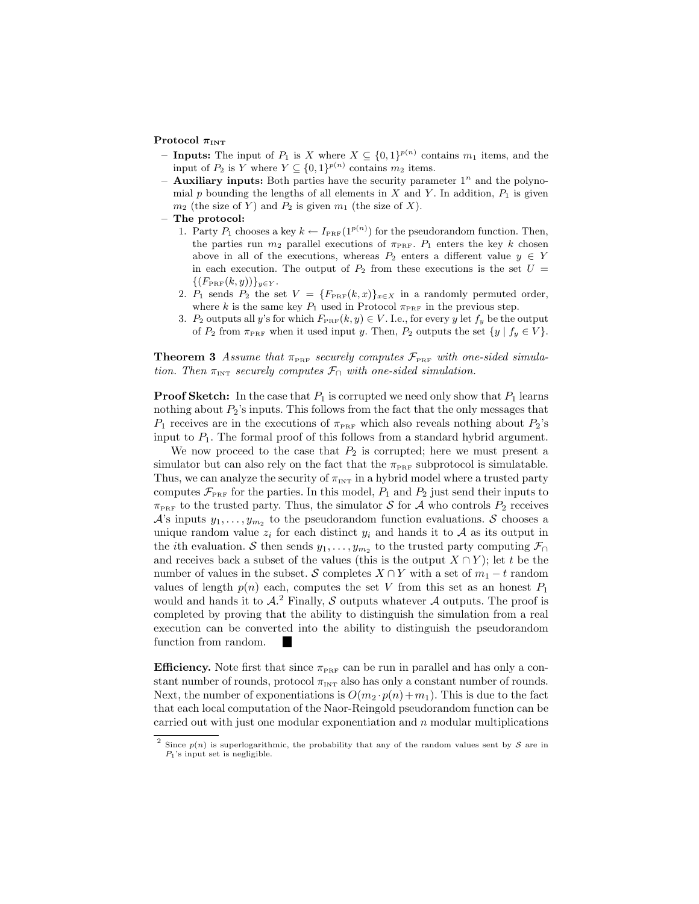#### Protocol  $\pi_{\text{INT}}$

- **Inputs:** The input of  $P_1$  is X where  $X \subseteq \{0,1\}^{p(n)}$  contains  $m_1$  items, and the input of  $P_2$  is Y where  $Y \subseteq \{0,1\}^{p(n)}$  contains  $m_2$  items.
- Auxiliary inputs: Both parties have the security parameter  $1^n$  and the polynomial  $p$  bounding the lengths of all elements in  $X$  and  $Y$ . In addition,  $P_1$  is given  $m_2$  (the size of Y) and  $P_2$  is given  $m_1$  (the size of X).
- The protocol:
	- 1. Party  $P_1$  chooses a key  $k \leftarrow I_{\text{PRF}}(1^{p(n)})$  for the pseudorandom function. Then, the parties run  $m_2$  parallel executions of  $\pi_{\text{PRF}}$ .  $P_1$  enters the key k chosen above in all of the executions, whereas  $P_2$  enters a different value  $y \in Y$ in each execution. The output of  $P_2$  from these executions is the set  $U =$  $\{(F_{\text{PRF}}(k, y))\}_{y \in Y}$ .
	- 2. P<sub>1</sub> sends P<sub>2</sub> the set  $V = \{F_{\text{PRF}}(k,x)\}_{x\in X}$  in a randomly permuted order, where k is the same key  $P_1$  used in Protocol  $\pi_{\text{PRF}}$  in the previous step.
	- 3. P<sub>2</sub> outputs all y's for which  $F_{\text{PRF}}(k, y) \in V$ . I.e., for every y let  $f_y$  be the output of  $P_2$  from  $\pi_{\text{PRF}}$  when it used input y. Then,  $P_2$  outputs the set  $\{y \mid f_y \in V\}$ .

**Theorem 3** Assume that  $\pi_{\text{PRF}}$  securely computes  $\mathcal{F}_{\text{PRF}}$  with one-sided simulation. Then  $\pi_{\text{INT}}$  securely computes  $\mathcal{F}_{\cap}$  with one-sided simulation.

**Proof Sketch:** In the case that  $P_1$  is corrupted we need only show that  $P_1$  learns nothing about  $P_2$ 's inputs. This follows from the fact that the only messages that  $P_1$  receives are in the executions of  $\pi_{\text{PRF}}$  which also reveals nothing about  $P_2$ 's input to  $P_1$ . The formal proof of this follows from a standard hybrid argument.

We now proceed to the case that  $P_2$  is corrupted; here we must present a simulator but can also rely on the fact that the  $\pi_{\text{PRF}}$  subprotocol is simulatable. Thus, we can analyze the security of  $\pi_{\text{INT}}$  in a hybrid model where a trusted party computes  $\mathcal{F}_{\text{PRF}}$  for the parties. In this model,  $P_1$  and  $P_2$  just send their inputs to  $\pi_{\text{PRF}}$  to the trusted party. Thus, the simulator S for A who controls  $P_2$  receives  $\mathcal{A}$ 's inputs  $y_1, \ldots, y_{m_2}$  to the pseudorandom function evaluations. S chooses a unique random value  $z_i$  for each distinct  $y_i$  and hands it to A as its output in the *i*th evaluation. S then sends  $y_1, \ldots, y_{m_2}$  to the trusted party computing  $\mathcal{F}_{\cap}$ and receives back a subset of the values (this is the output  $X \cap Y$ ); let t be the number of values in the subset. S completes  $X \cap Y$  with a set of  $m_1 - t$  random values of length  $p(n)$  each, computes the set V from this set as an honest  $P_1$ would and hands it to  $A<sup>2</sup>$  Finally, S outputs whatever A outputs. The proof is completed by proving that the ability to distinguish the simulation from a real execution can be converted into the ability to distinguish the pseudorandom function from random.

**Efficiency.** Note first that since  $\pi_{\text{PRF}}$  can be run in parallel and has only a constant number of rounds, protocol  $\pi_{\text{INT}}$  also has only a constant number of rounds. Next, the number of exponentiations is  $O(m_2 \cdot p(n) + m_1)$ . This is due to the fact that each local computation of the Naor-Reingold pseudorandom function can be carried out with just one modular exponentiation and  $n$  modular multiplications

<sup>&</sup>lt;sup>2</sup> Since  $p(n)$  is superlogarithmic, the probability that any of the random values sent by S are in  $P_1$ 's input set is negligible.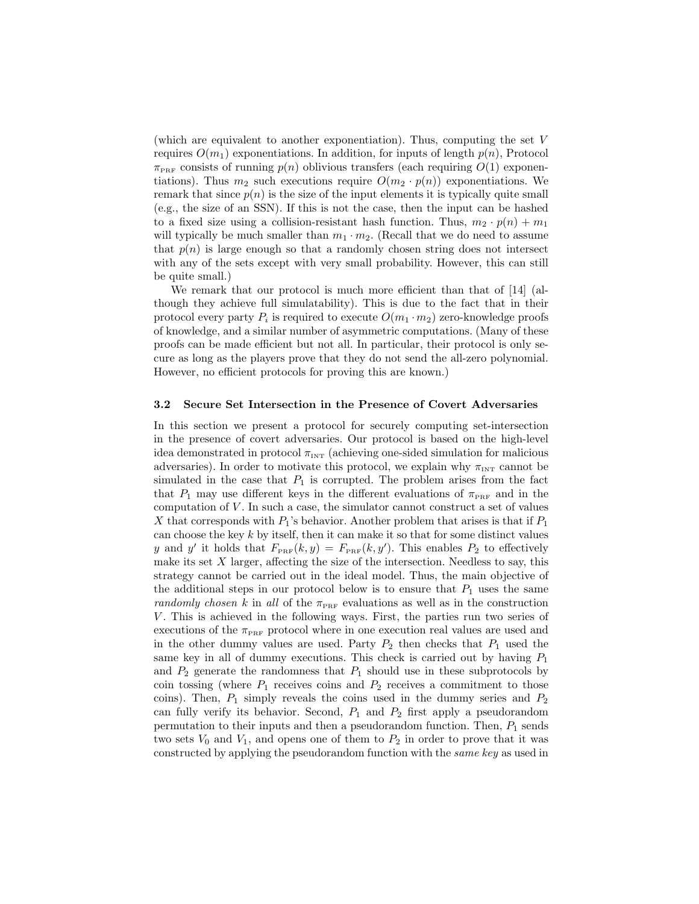(which are equivalent to another exponentiation). Thus, computing the set V requires  $O(m_1)$  exponentiations. In addition, for inputs of length  $p(n)$ , Protocol  $\pi_{\text{PRF}}$  consists of running  $p(n)$  oblivious transfers (each requiring  $O(1)$  exponentiations). Thus  $m_2$  such executions require  $O(m_2 \cdot p(n))$  exponentiations. We remark that since  $p(n)$  is the size of the input elements it is typically quite small (e.g., the size of an SSN). If this is not the case, then the input can be hashed to a fixed size using a collision-resistant hash function. Thus,  $m_2 \cdot p(n) + m_1$ will typically be much smaller than  $m_1 \cdot m_2$ . (Recall that we do need to assume that  $p(n)$  is large enough so that a randomly chosen string does not intersect with any of the sets except with very small probability. However, this can still be quite small.)

We remark that our protocol is much more efficient than that of [14] (although they achieve full simulatability). This is due to the fact that in their protocol every party  $P_i$  is required to execute  $O(m_1 \cdot m_2)$  zero-knowledge proofs of knowledge, and a similar number of asymmetric computations. (Many of these proofs can be made efficient but not all. In particular, their protocol is only secure as long as the players prove that they do not send the all-zero polynomial. However, no efficient protocols for proving this are known.)

### 3.2 Secure Set Intersection in the Presence of Covert Adversaries

In this section we present a protocol for securely computing set-intersection in the presence of covert adversaries. Our protocol is based on the high-level idea demonstrated in protocol  $\pi_{\text{INT}}$  (achieving one-sided simulation for malicious adversaries). In order to motivate this protocol, we explain why  $\pi_{\text{INT}}$  cannot be simulated in the case that  $P_1$  is corrupted. The problem arises from the fact that  $P_1$  may use different keys in the different evaluations of  $\pi_{\text{PRF}}$  and in the computation of V . In such a case, the simulator cannot construct a set of values X that corresponds with  $P_1$ 's behavior. Another problem that arises is that if  $P_1$ can choose the key  $k$  by itself, then it can make it so that for some distinct values y and y' it holds that  $F_{\text{PRF}}(k, y) = F_{\text{PRF}}(k, y')$ . This enables  $P_2$  to effectively make its set  $X$  larger, affecting the size of the intersection. Needless to say, this strategy cannot be carried out in the ideal model. Thus, the main objective of the additional steps in our protocol below is to ensure that  $P_1$  uses the same randomly chosen k in all of the  $\pi_{\text{PRF}}$  evaluations as well as in the construction V. This is achieved in the following ways. First, the parties run two series of executions of the  $\pi_{\text{PRF}}$  protocol where in one execution real values are used and in the other dummy values are used. Party  $P_2$  then checks that  $P_1$  used the same key in all of dummy executions. This check is carried out by having  $P_1$ and  $P_2$  generate the randomness that  $P_1$  should use in these subprotocols by coin tossing (where  $P_1$  receives coins and  $P_2$  receives a commitment to those coins). Then,  $P_1$  simply reveals the coins used in the dummy series and  $P_2$ can fully verify its behavior. Second,  $P_1$  and  $P_2$  first apply a pseudorandom permutation to their inputs and then a pseudorandom function. Then,  $P_1$  sends two sets  $V_0$  and  $V_1$ , and opens one of them to  $P_2$  in order to prove that it was constructed by applying the pseudorandom function with the same key as used in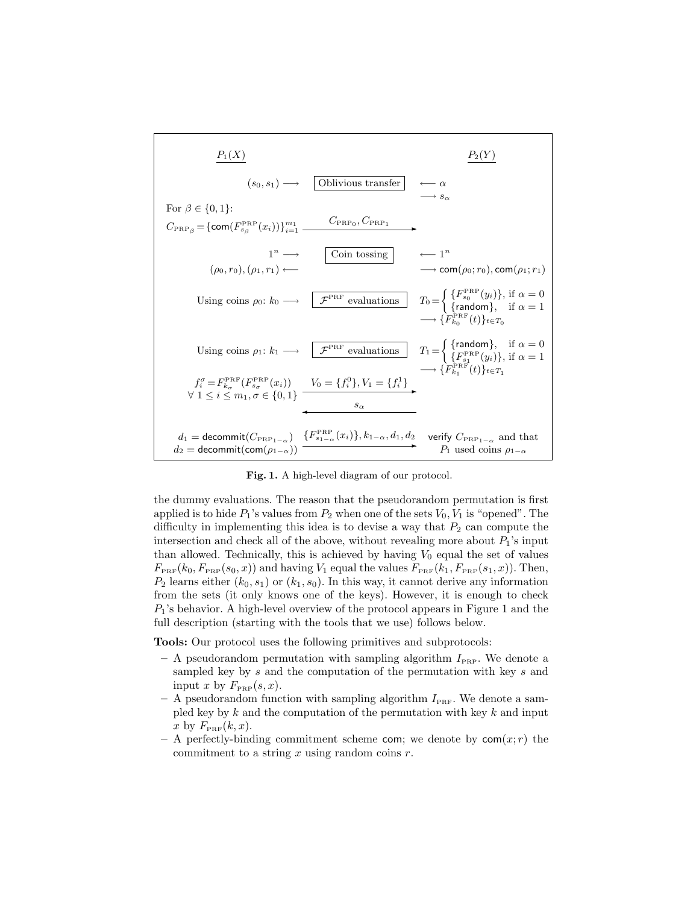

Fig. 1. A high-level diagram of our protocol.

the dummy evaluations. The reason that the pseudorandom permutation is first applied is to hide  $P_1$ 's values from  $P_2$  when one of the sets  $V_0, V_1$  is "opened". The difficulty in implementing this idea is to devise a way that  $P_2$  can compute the intersection and check all of the above, without revealing more about  $P_1$ 's input than allowed. Technically, this is achieved by having  $V_0$  equal the set of values  $F_{\text{PRF}}(k_0, F_{\text{PRP}}(s_0, x))$  and having  $V_1$  equal the values  $F_{\text{PRF}}(k_1, F_{\text{PRP}}(s_1, x))$ . Then,  $P_2$  learns either  $(k_0, s_1)$  or  $(k_1, s_0)$ . In this way, it cannot derive any information from the sets (it only knows one of the keys). However, it is enough to check  $P_1$ 's behavior. A high-level overview of the protocol appears in Figure 1 and the full description (starting with the tools that we use) follows below.

Tools: Our protocol uses the following primitives and subprotocols:

- A pseudorandom permutation with sampling algorithm  $I_{\text{PRP}}$ . We denote a sampled key by s and the computation of the permutation with key s and input x by  $F_{\text{PRP}}(s, x)$ .
- A pseudorandom function with sampling algorithm  $I_{\text{PRF}}$ . We denote a sampled key by k and the computation of the permutation with key  $k$  and input x by  $F_{\text{PRF}}(k, x)$ .
- A perfectly-binding commitment scheme com; we denote by  $com(x; r)$  the commitment to a string x using random coins  $r$ .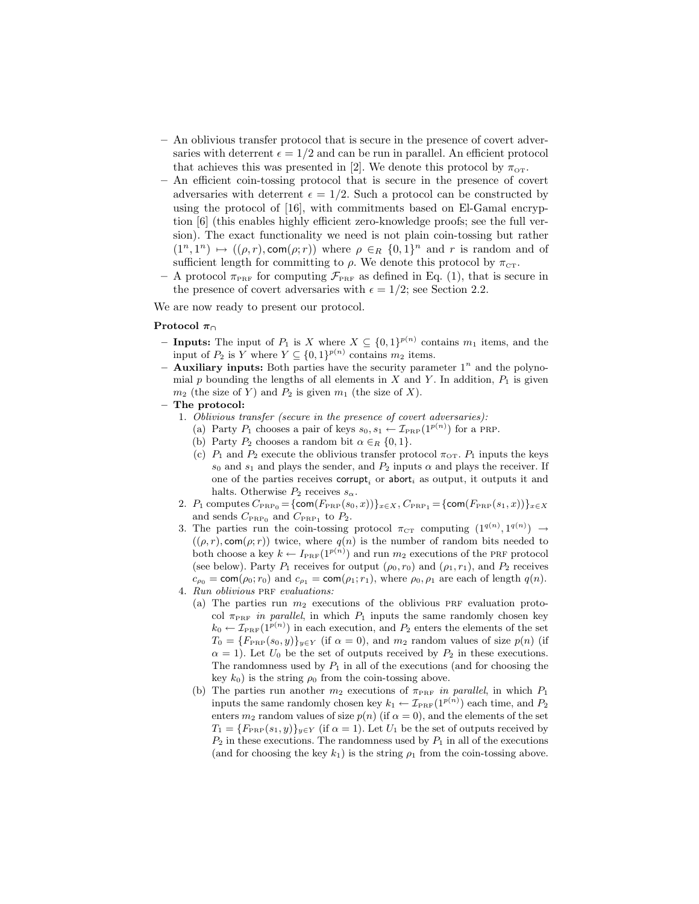- An oblivious transfer protocol that is secure in the presence of covert adversaries with deterrent  $\epsilon = 1/2$  and can be run in parallel. An efficient protocol that achieves this was presented in [2]. We denote this protocol by  $\pi_{\text{or}}$ .
- An efficient coin-tossing protocol that is secure in the presence of covert adversaries with deterrent  $\epsilon = 1/2$ . Such a protocol can be constructed by using the protocol of [16], with commitments based on El-Gamal encryption [6] (this enables highly efficient zero-knowledge proofs; see the full version). The exact functionality we need is not plain coin-tossing but rather  $(1^n, 1^n) \mapsto ((\rho, r), \text{com}(\rho; r))$  where  $\rho \in_R \{0, 1\}^n$  and r is random and of sufficient length for committing to  $\rho$ . We denote this protocol by  $\pi_{\text{CT}}$ .
- A protocol  $\pi_{\text{PRF}}$  for computing  $\mathcal{F}_{\text{PRF}}$  as defined in Eq. (1), that is secure in the presence of covert adversaries with  $\epsilon = 1/2$ ; see Section 2.2.

We are now ready to present our protocol.

### Protocol  $\pi$ ∩

- **Inputs:** The input of  $P_1$  is X where  $X \subseteq \{0,1\}^{p(n)}$  contains  $m_1$  items, and the input of  $P_2$  is Y where  $Y \subseteq \{0,1\}^{p(n)}$  contains  $m_2$  items.
- Auxiliary inputs: Both parties have the security parameter  $1^n$  and the polynomial p bounding the lengths of all elements in X and Y. In addition,  $P_1$  is given  $m_2$  (the size of Y) and  $P_2$  is given  $m_1$  (the size of X).
- The protocol:
	- 1. Oblivious transfer (secure in the presence of covert adversaries):
		- (a) Party  $P_1$  chooses a pair of keys  $s_0, s_1 \leftarrow \mathcal{I}_{\text{PRP}}(1^{p(n)})$  for a PRP.
		- (b) Party  $P_2$  chooses a random bit  $\alpha \in_R \{0,1\}.$
		- (c)  $P_1$  and  $P_2$  execute the oblivious transfer protocol  $\pi_{\text{OT}}$ .  $P_1$  inputs the keys  $s_0$  and  $s_1$  and plays the sender, and  $P_2$  inputs  $\alpha$  and plays the receiver. If one of the parties receives corrupt, or abort<sub>i</sub> as output, it outputs it and halts. Otherwise  $P_2$  receives  $s_{\alpha}$ .
	- 2. P<sub>1</sub> computes  $C_{\text{PRP}_0} = \{ \text{com}(F_{\text{PRP}}(s_0, x)) \}_{x \in X}, C_{\text{PRP}_1} = \{ \text{com}(F_{\text{PRP}}(s_1, x)) \}_{x \in X}$ and sends  $C_{\text{PRP}_0}$  and  $C_{\text{PRP}_1}$  to  $P_2$ .
	- 3. The parties run the coin-tossing protocol  $\pi_{\text{CT}}$  computing  $(1^{q(n)}, 1^{q(n)}) \rightarrow$  $((\rho, r), \text{com}(\rho; r))$  twice, where  $q(n)$  is the number of random bits needed to both choose a key  $k \leftarrow I_{\text{PRF}}(1^{p(n)})$  and run  $m_2$  executions of the PRF protocol (see below). Party  $P_1$  receives for output  $(\rho_0, r_0)$  and  $(\rho_1, r_1)$ , and  $P_2$  receives  $c_{\rho_0} = \text{com}(\rho_0; r_0)$  and  $c_{\rho_1} = \text{com}(\rho_1; r_1)$ , where  $\rho_0, \rho_1$  are each of length  $q(n)$ . 4. Run oblivious PRF evaluations:
		- (a) The parties run  $m_2$  executions of the oblivious PRF evaluation protocol  $\pi_{\text{PRF}}$  in parallel, in which  $P_1$  inputs the same randomly chosen key  $k_0 \leftarrow \mathcal{I}_{\text{PRF}}(1^{p(n)})$  in each execution, and  $P_2$  enters the elements of the set  $T_0 = \{F_{\text{PRP}}(s_0, y)\}_{y \in Y}$  (if  $\alpha = 0$ ), and  $m_2$  random values of size  $p(n)$  (if  $\alpha = 1$ ). Let  $U_0$  be the set of outputs received by  $P_2$  in these executions. The randomness used by  $P_1$  in all of the executions (and for choosing the key  $k_0$ ) is the string  $\rho_0$  from the coin-tossing above.
		- (b) The parties run another  $m_2$  executions of  $\pi_{\text{PRF}}$  in parallel, in which  $P_1$ inputs the same randomly chosen key  $k_1 \leftarrow \mathcal{I}_{\text{PRF}}(1^{p(n)})$  each time, and  $P_2$ enters  $m_2$  random values of size  $p(n)$  (if  $\alpha = 0$ ), and the elements of the set  $T_1 = \{F_{\text{PRP}}(s_1, y)\}_{y \in Y}$  (if  $\alpha = 1$ ). Let  $U_1$  be the set of outputs received by  $P_2$  in these executions. The randomness used by  $P_1$  in all of the executions (and for choosing the key  $k_1$ ) is the string  $\rho_1$  from the coin-tossing above.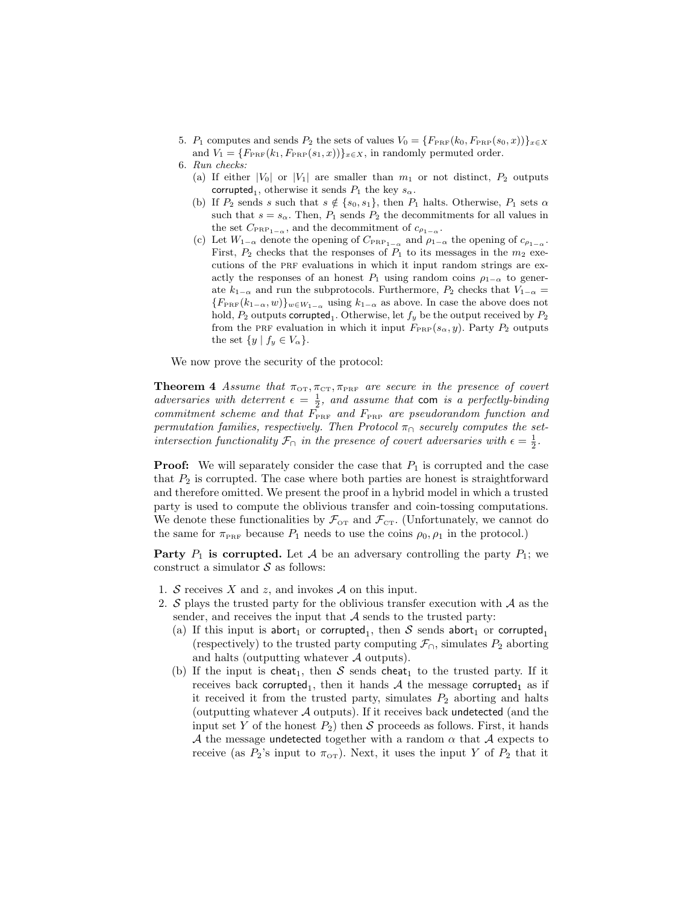- 5. P<sub>1</sub> computes and sends P<sub>2</sub> the sets of values  $V_0 = \{F_{\text{PRF}}(k_0, F_{\text{PRP}}(s_0, x))\}_{x \in X}$ and  $V_1 = \{F_{\text{PRF}}(k_1, F_{\text{PRP}}(s_1, x))\}_{x \in X}$ , in randomly permuted order.
- 6. Run checks:
	- (a) If either  $|V_0|$  or  $|V_1|$  are smaller than  $m_1$  or not distinct,  $P_2$  outputs corrupted<sub>1</sub>, otherwise it sends  $P_1$  the key  $s_{\alpha}$ .
	- (b) If  $P_2$  sends s such that  $s \notin \{s_0, s_1\}$ , then  $P_1$  halts. Otherwise,  $P_1$  sets  $\alpha$ such that  $s = s_{\alpha}$ . Then,  $P_1$  sends  $P_2$  the decommitments for all values in the set  $C_{\text{PRP}_{1-\alpha}}$ , and the decommitment of  $c_{\rho_{1-\alpha}}$ .
	- (c) Let  $W_{1-\alpha}$  denote the opening of  $C_{\text{PRP}_{1-\alpha}}$  and  $\rho_{1-\alpha}$  the opening of  $c_{\rho_{1-\alpha}}$ . First,  $P_2$  checks that the responses of  $P_1$  to its messages in the  $m_2$  executions of the PRF evaluations in which it input random strings are exactly the responses of an honest  $P_1$  using random coins  $\rho_{1-\alpha}$  to generate  $k_{1-\alpha}$  and run the subprotocols. Furthermore,  $P_2$  checks that  $V_{1-\alpha}$  =  ${F_{\text{PRF}}(k_{1-\alpha}, w)}_{w \in W_{1-\alpha}}$  using  $k_{1-\alpha}$  as above. In case the above does not hold,  $P_2$  outputs corrupted<sub>1</sub>. Otherwise, let  $f_y$  be the output received by  $P_2$ from the PRF evaluation in which it input  $F_{\text{PRP}}(s_{\alpha}, y)$ . Party  $P_2$  outputs the set  $\{y \mid f_y \in V_\alpha\}.$

We now prove the security of the protocol:

**Theorem 4** Assume that  $\pi_{\text{OT}}, \pi_{\text{CT}}, \pi_{\text{PRF}}$  are secure in the presence of covert adversaries with deterrent  $\epsilon = \frac{1}{2}$ , and assume that com is a perfectly-binding commitment scheme and that  $\bar{F}_{\text{PRF}}$  and  $F_{\text{PRP}}$  are pseudorandom function and permutation families, respectively. Then Protocol  $\pi_{\cap}$  securely computes the setintersection functionality  $\mathcal{F}_{\cap}$  in the presence of covert adversaries with  $\epsilon = \frac{1}{2}$ .

**Proof:** We will separately consider the case that  $P_1$  is corrupted and the case that  $P_2$  is corrupted. The case where both parties are honest is straightforward and therefore omitted. We present the proof in a hybrid model in which a trusted party is used to compute the oblivious transfer and coin-tossing computations. We denote these functionalities by  $\mathcal{F}_{\text{OT}}$  and  $\mathcal{F}_{\text{CT}}$ . (Unfortunately, we cannot do the same for  $\pi_{\text{PRF}}$  because  $P_1$  needs to use the coins  $\rho_0$ ,  $\rho_1$  in the protocol.)

**Party**  $P_1$  is corrupted. Let A be an adversary controlling the party  $P_1$ ; we construct a simulator  $S$  as follows:

- 1. S receives X and z, and invokes  $\mathcal A$  on this input.
- 2. S plays the trusted party for the oblivious transfer execution with  $A$  as the sender, and receives the input that  $A$  sends to the trusted party:
	- (a) If this input is abort<sub>1</sub> or corrupted<sub>1</sub>, then  $S$  sends abort<sub>1</sub> or corrupted<sub>1</sub> (respectively) to the trusted party computing  $\mathcal{F}_{\cap}$ , simulates  $P_2$  aborting and halts (outputting whatever  $A$  outputs).
	- (b) If the input is cheat<sub>1</sub>, then S sends cheat<sub>1</sub> to the trusted party. If it receives back corrupted<sub>1</sub>, then it hands  ${\mathcal A}$  the message corrupted<sub>1</sub> as if it received it from the trusted party, simulates  $P_2$  aborting and halts (outputting whatever  $\mathcal A$  outputs). If it receives back undetected (and the input set Y of the honest  $P_2$ ) then S proceeds as follows. First, it hands A the message undetected together with a random  $\alpha$  that A expects to receive (as  $P_2$ 's input to  $\pi_{\text{OT}}$ ). Next, it uses the input Y of  $P_2$  that it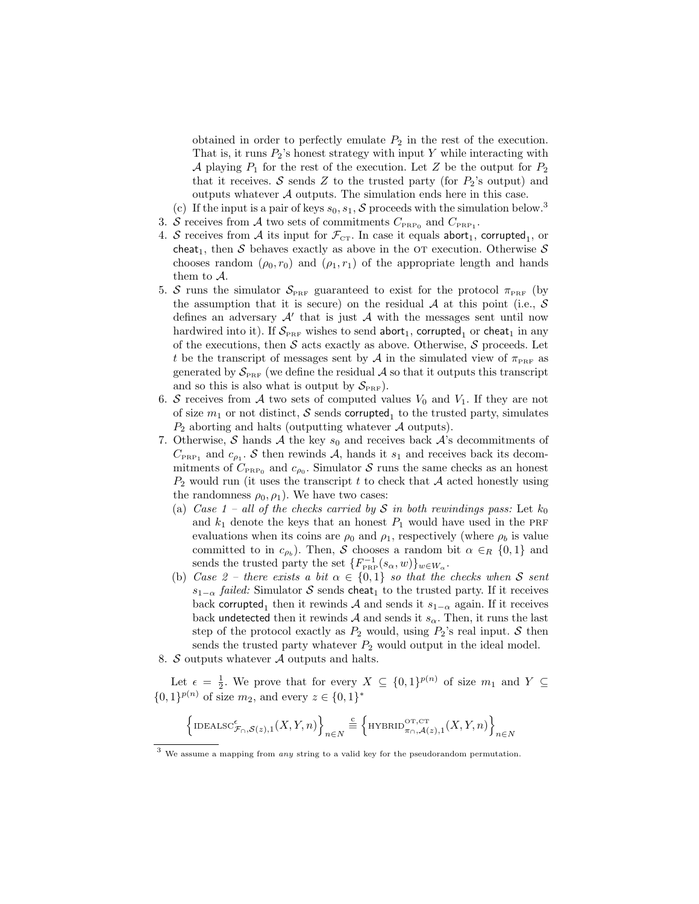obtained in order to perfectly emulate  $P_2$  in the rest of the execution. That is, it runs  $P_2$ 's honest strategy with input Y while interacting with A playing  $P_1$  for the rest of the execution. Let Z be the output for  $P_2$ that it receives. S sends Z to the trusted party (for  $P_2$ 's output) and outputs whatever  $A$  outputs. The simulation ends here in this case.

- (c) If the input is a pair of keys  $s_0, s_1, S$  proceeds with the simulation below.<sup>3</sup>
- 3. S receives from A two sets of commitments  $C_{\text{PRP}_0}$  and  $C_{\text{PRP}_1}$ .
- 4. S receives from  $\mathcal A$  its input for  $\mathcal F_{\textrm{CT}}.$  In case it equals  $\mathsf{abort}_1,$  corrupted $_1,$  or cheat<sub>1</sub>, then S behaves exactly as above in the OT execution. Otherwise S chooses random  $(\rho_0, r_0)$  and  $(\rho_1, r_1)$  of the appropriate length and hands them to A.
- 5. S runs the simulator  $S_{\text{PRE}}$  guaranteed to exist for the protocol  $\pi_{\text{PRE}}$  (by the assumption that it is secure) on the residual  $A$  at this point (i.e.,  $S$ defines an adversary  $A'$  that is just  $A$  with the messages sent until now hardwired into it). If  $S_{\text{PRF}}$  wishes to send abort<sub>1</sub>, corrupted<sub>1</sub> or cheat<sub>1</sub> in any of the executions, then  $S$  acts exactly as above. Otherwise,  $S$  proceeds. Let t be the transcript of messages sent by A in the simulated view of  $\pi_{\text{PRF}}$  as generated by  $S_{\text{PRF}}$  (we define the residual A so that it outputs this transcript and so this is also what is output by  $\mathcal{S}_{\text{PRF}}$ ).
- 6. S receives from A two sets of computed values  $V_0$  and  $V_1$ . If they are not of size  $m_1$  or not distinct,  $S$  sends corrupted<sub>1</sub> to the trusted party, simulates  $P_2$  aborting and halts (outputting whatever  $\mathcal A$  outputs).
- 7. Otherwise, S hands A the key  $s_0$  and receives back A's decommitments of  $C_{\text{PRP}_1}$  and  $c_{\rho_1}$ . S then rewinds A, hands it  $s_1$  and receives back its decommitments of  $C_{\text{PRP}_0}$  and  $c_{\rho_0}$ . Simulator S runs the same checks as an honest  $P_2$  would run (it uses the transcript t to check that A acted honestly using the randomness  $\rho_0$ ,  $\rho_1$ ). We have two cases:
	- (a) Case 1 all of the checks carried by S in both rewindings pass: Let  $k_0$ and  $k_1$  denote the keys that an honest  $P_1$  would have used in the PRF evaluations when its coins are  $\rho_0$  and  $\rho_1$ , respectively (where  $\rho_b$  is value committed to in  $c_{\rho_b}$ ). Then, S chooses a random bit  $\alpha \in_R \{0,1\}$  and sends the trusted party the set  $\{F^{-1}_{PRP}(s_\alpha, w)\}_{w \in W_\alpha}$ .
	- (b) Case 2 there exists a bit  $\alpha \in \{0,1\}$  so that the checks when S sent  $s_{1-\alpha}$  failed: Simulator S sends cheat<sub>1</sub> to the trusted party. If it receives back corrupted<sub>1</sub> then it rewinds A and sends it  $s_{1-\alpha}$  again. If it receives back undetected then it rewinds A and sends it  $s_{\alpha}$ . Then, it runs the last step of the protocol exactly as  $P_2$  would, using  $P_2$ 's real input. S then sends the trusted party whatever  $P_2$  would output in the ideal model.
- 8.  $S$  outputs whatever  $A$  outputs and halts.

Let  $\epsilon = \frac{1}{2}$ . We prove that for every  $X \subseteq \{0,1\}^{p(n)}$  of size  $m_1$  and  $Y \subseteq$  $\{0,1\}^{p(n)}$  of size  $m_2$ , and every  $z \in \{0,1\}^*$ 

$$
\Big\{{\sf IDEALSC}_{{\mathcal{F}}_\cap,{\mathcal{S}}(z),1}^{\epsilon}(X,Y,n)\Big\}_{n\in N}\stackrel{\rm c}{\equiv}\Big\{{\sf HYBRID}^{{\sf OT,CT}}_{\pi_\cap,{\mathcal{A}}(z),1}(X,Y,n)\Big\}_{n\in N}
$$

 $3$  We assume a mapping from *any* string to a valid key for the pseudorandom permutation.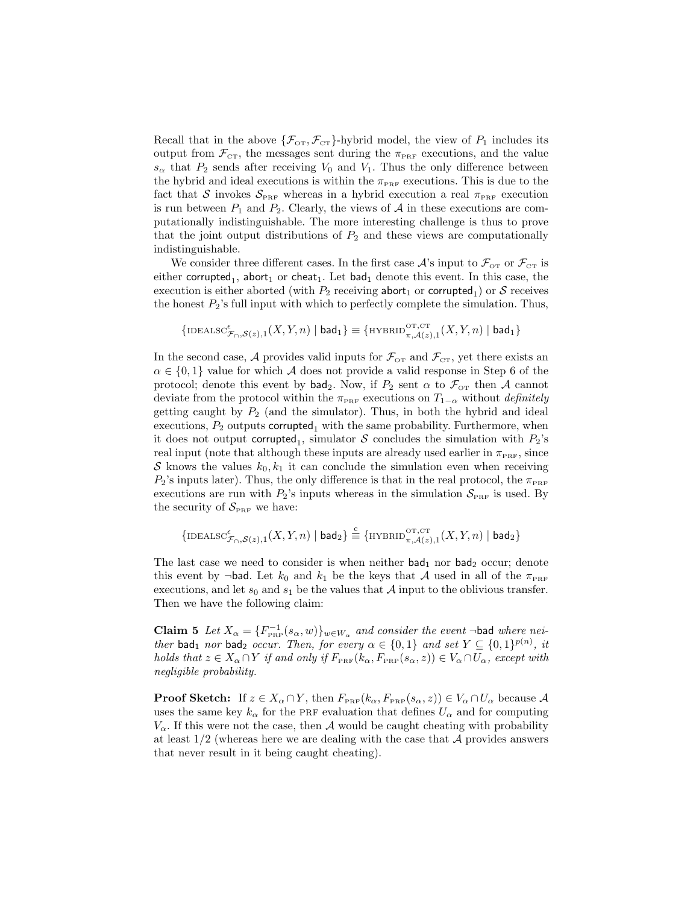Recall that in the above  $\{\mathcal{F}_{\text{OT}}, \mathcal{F}_{\text{CT}}\}$ -hybrid model, the view of  $P_1$  includes its output from  $\mathcal{F}_{CT}$ , the messages sent during the  $\pi_{PRE}$  executions, and the value  $s_{\alpha}$  that  $P_2$  sends after receiving  $V_0$  and  $V_1$ . Thus the only difference between the hybrid and ideal executions is within the  $\pi_{\text{PRF}}$  executions. This is due to the fact that S invokes  $S_{\text{PRF}}$  whereas in a hybrid execution a real  $\pi_{\text{PRF}}$  execution is run between  $P_1$  and  $P_2$ . Clearly, the views of A in these executions are computationally indistinguishable. The more interesting challenge is thus to prove that the joint output distributions of  $P_2$  and these views are computationally indistinguishable.

We consider three different cases. In the first case  $\mathcal{A}$ 's input to  $\mathcal{F}_{\text{OT}}$  or  $\mathcal{F}_{\text{CT}}$  is either corrupted<sub>1</sub>, abort<sub>1</sub> or cheat<sub>1</sub>. Let bad<sub>1</sub> denote this event. In this case, the execution is either aborted (with  $P_2$  receiving abort<sub>1</sub> or corrupted<sub>1</sub>) or  ${\cal S}$  receives the honest  $P_2$ 's full input with which to perfectly complete the simulation. Thus,

$$
\{\text{IDEALSC}_{\mathcal{F}_\cap, \mathcal{S}(z), 1}^\epsilon(X, Y, n) \mid \text{bad}_1\} \equiv \{\text{HYBRID}_{\pi, \mathcal{A}(z), 1}^{\text{OT,CT}}(X, Y, n) \mid \text{bad}_1\}
$$

In the second case,  $\cal A$  provides valid inputs for  ${\cal F}_{\tt OT}$  and  ${\cal F}_{\tt CT}$ , yet there exists an  $\alpha \in \{0,1\}$  value for which A does not provide a valid response in Step 6 of the protocol; denote this event by bad<sub>2</sub>. Now, if  $P_2$  sent  $\alpha$  to  $\mathcal{F}_{\text{OT}}$  then A cannot deviate from the protocol within the  $\pi_{\text{PRF}}$  executions on  $T_{1-\alpha}$  without *definitely* getting caught by  $P_2$  (and the simulator). Thus, in both the hybrid and ideal executions,  $P_2$  outputs corrupted<sub>1</sub> with the same probability. Furthermore, when it does not output corrupted<sub>1</sub>, simulator S concludes the simulation with  $P_2$ 's real input (note that although these inputs are already used earlier in  $\pi_{\text{PRF}}$ , since S knows the values  $k_0, k_1$  it can conclude the simulation even when receiving  $P_2$ 's inputs later). Thus, the only difference is that in the real protocol, the  $\pi_{\text{PRF}}$ executions are run with  $P_2$ 's inputs whereas in the simulation  $S_{\text{PRF}}$  is used. By the security of  $\mathcal{S}_{\text{PRF}}$  we have:

 $\{\text{IDEALSC}_{\mathcal{F}_\cap,\mathcal{S}(z),1}^\epsilon(X,Y,n) \mid \mathsf{bad}_2\} \stackrel{\text{c}}{=} \{\text{HYBRID}_{\pi,\mathcal{A}(z)}^{\text{OT,CT}}$  $_{\pi,\mathcal{A}(z),1}^{\mathrm{OT,CT}}(X,Y,n)\mid\mathsf{bad}_2\}$ 

The last case we need to consider is when neither  $bad_1$  nor  $bad_2$  occur; denote this event by  $\neg$ bad. Let  $k_0$  and  $k_1$  be the keys that A used in all of the  $\pi_{\text{PRF}}$ executions, and let  $s_0$  and  $s_1$  be the values that A input to the oblivious transfer. Then we have the following claim:

**Claim 5** Let  $X_{\alpha} = \{F_{\text{PRP}}^{-1}(s_{\alpha}, w)\}_{w \in W_{\alpha}}$  and consider the event  $\neg$ bad where neither bad<sub>1</sub> nor bad<sub>2</sub> occur. Then, for every  $\alpha \in \{0,1\}$  and set  $Y \subseteq \{0,1\}^{p(n)}$ , it holds that  $z \in X_\alpha \cap Y$  if and only if  $F_{\text{PRF}}(k_\alpha, F_{\text{PRP}}(s_\alpha, z)) \in V_\alpha \cap U_\alpha$ , except with negligible probability.

**Proof Sketch:** If  $z \in X_\alpha \cap Y$ , then  $F_{\text{PRF}}(k_\alpha, F_{\text{PRP}}(s_\alpha, z)) \in V_\alpha \cap U_\alpha$  because A uses the same key  $k_{\alpha}$  for the PRF evaluation that defines  $U_{\alpha}$  and for computing  $V_{\alpha}$ . If this were not the case, then A would be caught cheating with probability at least  $1/2$  (whereas here we are dealing with the case that A provides answers that never result in it being caught cheating).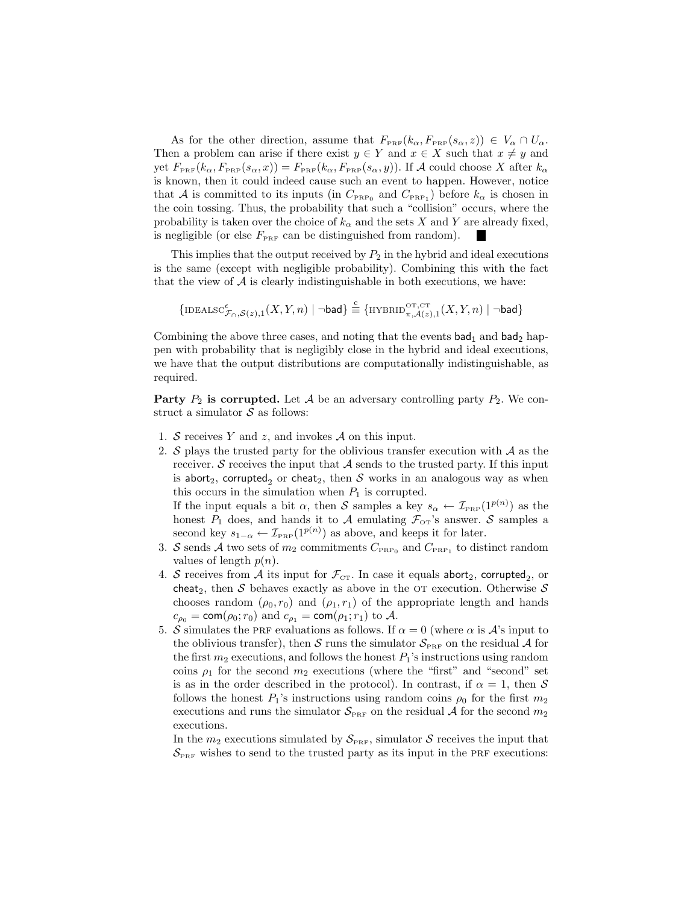As for the other direction, assume that  $F_{\text{PRF}}(k_{\alpha}, F_{\text{PRP}}(s_{\alpha}, z)) \in V_{\alpha} \cap U_{\alpha}$ . Then a problem can arise if there exist  $y \in Y$  and  $x \in X$  such that  $x \neq y$  and yet  $F_{\text{PRF}}(k_{\alpha}, F_{\text{PRP}}(s_{\alpha}, x)) = F_{\text{PRF}}(k_{\alpha}, F_{\text{PRP}}(s_{\alpha}, y))$ . If A could choose X after  $k_{\alpha}$ is known, then it could indeed cause such an event to happen. However, notice that A is committed to its inputs (in  $C_{\text{PRP}_0}$  and  $C_{\text{PRP}_1}$ ) before  $k_{\alpha}$  is chosen in the coin tossing. Thus, the probability that such a "collision" occurs, where the probability is taken over the choice of  $k_{\alpha}$  and the sets X and Y are already fixed, is negligible (or else  $F_{\text{PRF}}$  can be distinguished from random).

This implies that the output received by  $P_2$  in the hybrid and ideal executions is the same (except with negligible probability). Combining this with the fact that the view of  $A$  is clearly indistinguishable in both executions, we have:

$$
\{\text{IDEALSC}_{\mathcal{F}_{\cap},\mathcal{S}(z),1}^{\epsilon}(X,Y,n) \mid \neg \text{bad}\} \stackrel{\mathcal{C}}{=} \{\text{HYBRID}_{\pi,\mathcal{A}(z),1}^{\text{OT,CT}}(X,Y,n) \mid \neg \text{bad}\}
$$

Combining the above three cases, and noting that the events  $bad<sub>1</sub>$  and  $bad<sub>2</sub>$  happen with probability that is negligibly close in the hybrid and ideal executions, we have that the output distributions are computationally indistinguishable, as required.

**Party**  $P_2$  is corrupted. Let A be an adversary controlling party  $P_2$ . We construct a simulator  $S$  as follows:

- 1. S receives Y and z, and invokes  $\mathcal A$  on this input.
- 2. S plays the trusted party for the oblivious transfer execution with  $\mathcal A$  as the receiver. S receives the input that  $A$  sends to the trusted party. If this input is abort<sub>2</sub>, corrupted<sub>2</sub> or cheat<sub>2</sub>, then S works in an analogous way as when this occurs in the simulation when  $P_1$  is corrupted. If the input equals a bit  $\alpha$ , then S samples a key  $s_{\alpha} \leftarrow \mathcal{I}_{\text{PRP}}(1^{p(n)})$  as the

honest  $P_1$  does, and hands it to A emulating  $\mathcal{F}_{\text{or}}$ 's answer. S samples a second key  $s_{1-\alpha} \leftarrow \mathcal{I}_{\text{PRP}}(1^{p(n)})$  as above, and keeps it for later.

- 3. S sends A two sets of  $m_2$  commitments  $C_{\text{PRP}_0}$  and  $C_{\text{PRP}_1}$  to distinct random values of length  $p(n)$ .
- 4. S receives from  $\mathcal A$  its input for  $\mathcal F_{\textrm{CT}}.$  In case it equals abort<sub>2</sub>, corrupted<sub>2</sub>, or cheat<sub>2</sub>, then S behaves exactly as above in the OT execution. Otherwise S chooses random  $(\rho_0, r_0)$  and  $(\rho_1, r_1)$  of the appropriate length and hands  $c_{\rho_0} = \text{com}(\rho_0; r_0)$  and  $c_{\rho_1} = \text{com}(\rho_1; r_1)$  to A.
- 5. S simulates the PRF evaluations as follows. If  $\alpha = 0$  (where  $\alpha$  is  $\mathcal{A}$ 's input to the oblivious transfer), then S runs the simulator  $S_{\text{PRF}}$  on the residual A for the first  $m_2$  executions, and follows the honest  $P_1$ 's instructions using random coins  $\rho_1$  for the second  $m_2$  executions (where the "first" and "second" set is as in the order described in the protocol). In contrast, if  $\alpha = 1$ , then S follows the honest  $P_1$ 's instructions using random coins  $\rho_0$  for the first  $m_2$ executions and runs the simulator  $\mathcal{S}_{\text{PRF}}$  on the residual A for the second  $m_2$ executions.

In the  $m_2$  executions simulated by  $S_{\text{PRF}}$ , simulator S receives the input that  $\mathcal{S}_{\text{PRF}}$  wishes to send to the trusted party as its input in the PRF executions: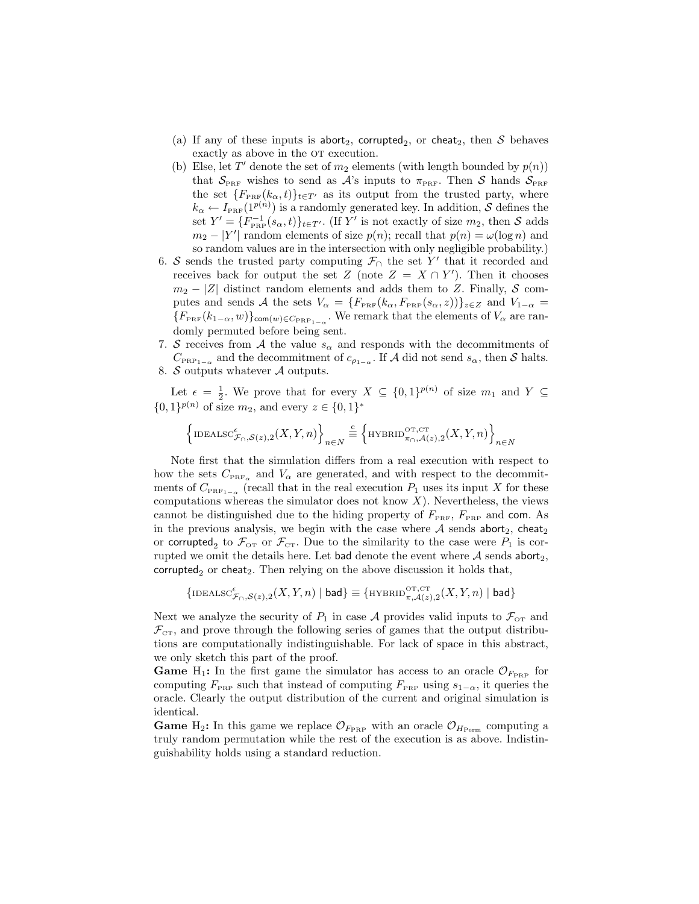- (a) If any of these inputs is abort<sub>2</sub>, corrupted<sub>2</sub>, or cheat<sub>2</sub>, then  $S$  behaves exactly as above in the  $\sigma$  execution.
- (b) Else, let  $T'$  denote the set of  $m_2$  elements (with length bounded by  $p(n)$ ) that  $S_{\text{PRF}}$  wishes to send as A's inputs to  $\pi_{\text{PRF}}$ . Then S hands  $S_{\text{PRF}}$ the set  ${F_{\text{PRF}}(k_\alpha, t)}_{t\in T}$  as its output from the trusted party, where  $k_{\alpha} \leftarrow I_{\text{PRF}}(1^{p(n)})$  is a randomly generated key. In addition, S defines the set  $Y' = \{F^{-1}_{\text{PRP}}(s_\alpha, t)\}_{t \in T'}$ . (If Y' is not exactly of size  $m_2$ , then S adds  $m_2 - |Y'|$  random elements of size  $p(n)$ ; recall that  $p(n) = \omega(\log n)$  and so random values are in the intersection with only negligible probability.)
- 6. S sends the trusted party computing  $\mathcal{F}_{\cap}$  the set Y' that it recorded and receives back for output the set Z (note  $Z = X \cap Y'$ ). Then it chooses  $m_2 - |Z|$  distinct random elements and adds them to Z. Finally, S computes and sends A the sets  $V_{\alpha} = \{F_{\text{PRF}}(k_{\alpha}, F_{\text{PRP}}(s_{\alpha}, z))\}_{z \in Z}$  and  $V_{1-\alpha} =$  ${F_{\rm PRF}(k_{1-\alpha}, w)}$ <sub>com(w)∈C<sub>PRP<sub>1-α</sub>. We remark that the elements of  $V_{\alpha}$  are ran-</sub></sub> domly permuted before being sent.
- 7. S receives from A the value  $s_{\alpha}$  and responds with the decommitments of  $C_{\text{PRP}_{1-\alpha}}$  and the decommitment of  $c_{\rho_{1-\alpha}}$ . If A did not send  $s_{\alpha}$ , then S halts. 8.  $S$  outputs whatever  $A$  outputs.

Let  $\epsilon = \frac{1}{2}$ . We prove that for every  $X \subseteq \{0,1\}^{p(n)}$  of size  $m_1$  and  $Y \subseteq$  $\{0,1\}^{p(n)}$  of size  $m_2$ , and every  $z \in \{0,1\}^*$ 

$$
\left\{ \text{IDEALSC}_{\mathcal{F}_{\bigcap}, \mathcal{S}(z), 2}^{\epsilon}(X, Y, n) \right\}_{n \in N} \stackrel{\text{c}}{=} \left\{ \text{HYBRID}_{\pi_{\bigcap}, \mathcal{A}(z), 2}^{\text{OT,CT}}(X, Y, n) \right\}_{n \in N}
$$

Note first that the simulation differs from a real execution with respect to how the sets  $C_{\text{PRF}_{\alpha}}$  and  $V_{\alpha}$  are generated, and with respect to the decommitments of  $C_{\text{PRF}_{1-\alpha}}$  (recall that in the real execution  $P_1$  uses its input X for these computations whereas the simulator does not know  $X$ ). Nevertheless, the views cannot be distinguished due to the hiding property of  $F_{\text{PRF}}$ ,  $F_{\text{PRP}}$  and com. As in the previous analysis, we begin with the case where  $A$  sends abort<sub>2</sub>, cheat<sub>2</sub> or corrupted<sub>2</sub> to  $\mathcal{F}_{\text{OT}}$  or  $\mathcal{F}_{\text{CT}}$ . Due to the similarity to the case were  $P_1$  is corrupted we omit the details here. Let bad denote the event where  $A$  sends abort<sub>2</sub>, corrupted<sub>2</sub> or cheat<sub>2</sub>. Then relying on the above discussion it holds that,

$$
\{\text{IDEALSC}_{\mathcal{F}_\cap, \mathcal{S}(z), 2}^\epsilon(X, Y, n) \mid \text{bad}\} \equiv \{\text{HYBRID}_{\pi, \mathcal{A}(z), 2}^{\text{OT,CT}}(X, Y, n) \mid \text{bad}\}
$$

Next we analyze the security of  $P_1$  in case A provides valid inputs to  $\mathcal{F}_{\text{OT}}$  and  $\mathcal{F}_{CT}$ , and prove through the following series of games that the output distributions are computationally indistinguishable. For lack of space in this abstract, we only sketch this part of the proof.

**Game** H<sub>1</sub>: In the first game the simulator has access to an oracle  $\mathcal{O}_{F_{\text{PRP}}}$  for computing  $F_{\text{PRP}}$  such that instead of computing  $F_{\text{PRP}}$  using  $s_{1-\alpha}$ , it queries the oracle. Clearly the output distribution of the current and original simulation is identical.

**Game** H<sub>2</sub>: In this game we replace  $\mathcal{O}_{F_{\text{PRP}}}$  with an oracle  $\mathcal{O}_{H_{\text{Perm}}}$  computing a truly random permutation while the rest of the execution is as above. Indistinguishability holds using a standard reduction.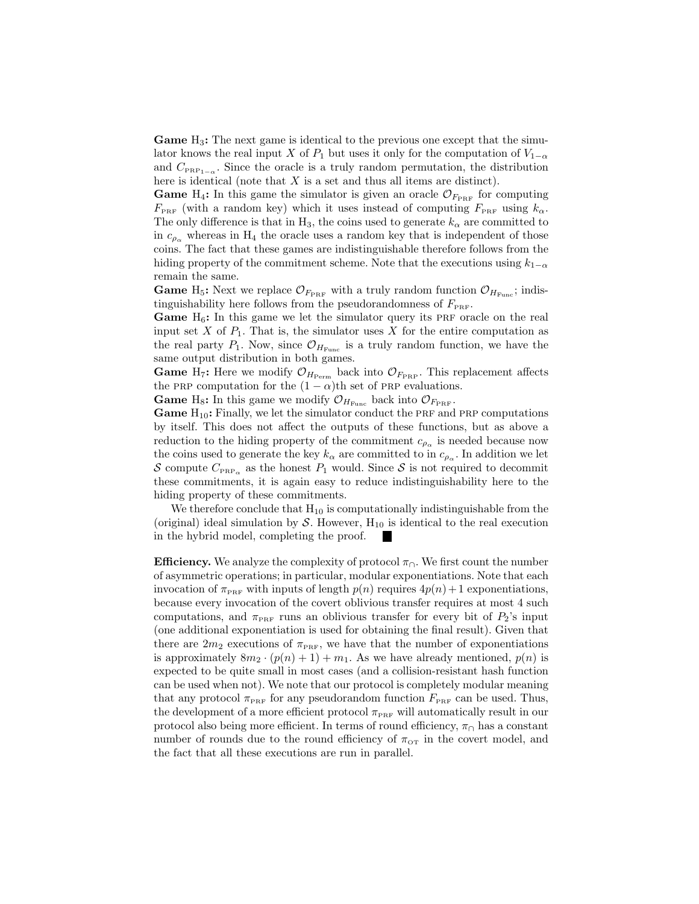**Game**  $H_3$ : The next game is identical to the previous one except that the simulator knows the real input X of  $P_1$  but uses it only for the computation of  $V_{1-\alpha}$ and  $C_{\text{PRP}_{1-\alpha}}$ . Since the oracle is a truly random permutation, the distribution here is identical (note that  $X$  is a set and thus all items are distinct).

**Game** H<sub>4</sub>: In this game the simulator is given an oracle  $\mathcal{O}_{F_{\text{PRF}}}$  for computing  $F_{\text{PRF}}$  (with a random key) which it uses instead of computing  $F_{\text{PRF}}$  using  $k_{\alpha}$ . The only difference is that in H<sub>3</sub>, the coins used to generate  $k_{\alpha}$  are committed to in  $c_{\rho_{\alpha}}$  whereas in H<sub>4</sub> the oracle uses a random key that is independent of those coins. The fact that these games are indistinguishable therefore follows from the hiding property of the commitment scheme. Note that the executions using  $k_{1-\alpha}$ remain the same.

**Game** H<sub>5</sub>: Next we replace  $\mathcal{O}_{F_{\text{PRE}}}$  with a truly random function  $\mathcal{O}_{H_{\text{Func}}}$ ; indistinguishability here follows from the pseudorandomness of  $F_{\text{PRF}}$ .

**Game**  $H_6$ : In this game we let the simulator query its PRF oracle on the real input set  $X$  of  $P_1$ . That is, the simulator uses  $X$  for the entire computation as the real party  $P_1$ . Now, since  $\mathcal{O}_{H_{\text{Func}}}$  is a truly random function, we have the same output distribution in both games.

**Game** H<sub>7</sub>: Here we modify  $\mathcal{O}_{H_{\text{Perm}}}$  back into  $\mathcal{O}_{F_{\text{PRP}}}$ . This replacement affects the PRP computation for the  $(1 - \alpha)$ th set of PRP evaluations.

**Game** H<sub>8</sub>: In this game we modify  $\mathcal{O}_{H_{\text{Func}}}$  back into  $\mathcal{O}_{F_{\text{PRE}}}$ .

**Game**  $H_{10}$ : Finally, we let the simulator conduct the PRF and PRP computations by itself. This does not affect the outputs of these functions, but as above a reduction to the hiding property of the commitment  $c_{\rho_{\alpha}}$  is needed because now the coins used to generate the key  $k_{\alpha}$  are committed to in  $c_{\rho_{\alpha}}$ . In addition we let S compute  $C_{\text{PRP}_{\alpha}}$  as the honest  $P_1$  would. Since S is not required to decommit these commitments, it is again easy to reduce indistinguishability here to the hiding property of these commitments.

We therefore conclude that  $H_{10}$  is computationally indistinguishable from the (original) ideal simulation by S. However,  $H_{10}$  is identical to the real execution in the hybrid model, completing the proof.

**Efficiency.** We analyze the complexity of protocol  $\pi_{\Omega}$ . We first count the number of asymmetric operations; in particular, modular exponentiations. Note that each invocation of  $\pi_{\text{PRF}}$  with inputs of length  $p(n)$  requires  $4p(n)+1$  exponentiations, because every invocation of the covert oblivious transfer requires at most 4 such computations, and  $\pi_{\text{PRF}}$  runs an oblivious transfer for every bit of  $P_2$ 's input (one additional exponentiation is used for obtaining the final result). Given that there are  $2m_2$  executions of  $\pi_{\text{PRF}}$ , we have that the number of exponentiations is approximately  $8m_2 \cdot (p(n) + 1) + m_1$ . As we have already mentioned,  $p(n)$  is expected to be quite small in most cases (and a collision-resistant hash function can be used when not). We note that our protocol is completely modular meaning that any protocol  $\pi_{\text{PRF}}$  for any pseudorandom function  $F_{\text{PRF}}$  can be used. Thus, the development of a more efficient protocol  $\pi_{\text{PRF}}$  will automatically result in our protocol also being more efficient. In terms of round efficiency,  $\pi_{\Omega}$  has a constant number of rounds due to the round efficiency of  $\pi_{\text{OT}}$  in the covert model, and the fact that all these executions are run in parallel.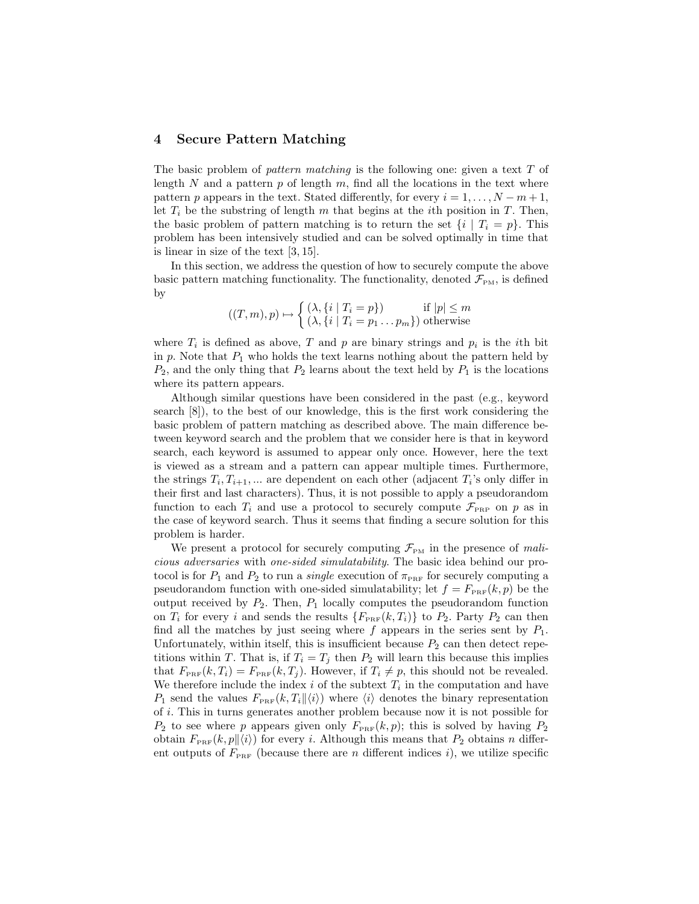# 4 Secure Pattern Matching

The basic problem of *pattern matching* is the following one: given a text  $T$  of length N and a pattern  $p$  of length  $m$ , find all the locations in the text where pattern p appears in the text. Stated differently, for every  $i = 1, \ldots, N - m + 1$ , let  $T_i$  be the substring of length m that begins at the *i*th position in T. Then, the basic problem of pattern matching is to return the set  $\{i \mid T_i = p\}$ . This problem has been intensively studied and can be solved optimally in time that is linear in size of the text [3, 15].

In this section, we address the question of how to securely compute the above basic pattern matching functionality. The functionality, denoted  $\mathcal{F}_{\text{PM}}$ , is defined by ½

$$
((T,m),p) \mapsto \begin{cases} (\lambda, \{i \mid T_i = p\}) & \text{if } |p| \le m \\ (\lambda, \{i \mid T_i = p_1 \dots p_m\}) & \text{otherwise} \end{cases}
$$

where  $T_i$  is defined as above, T and p are binary strings and  $p_i$  is the *i*th bit in  $p$ . Note that  $P_1$  who holds the text learns nothing about the pattern held by  $P_2$ , and the only thing that  $P_2$  learns about the text held by  $P_1$  is the locations where its pattern appears.

Although similar questions have been considered in the past (e.g., keyword search [8]), to the best of our knowledge, this is the first work considering the basic problem of pattern matching as described above. The main difference between keyword search and the problem that we consider here is that in keyword search, each keyword is assumed to appear only once. However, here the text is viewed as a stream and a pattern can appear multiple times. Furthermore, the strings  $T_i, T_{i+1}, \dots$  are dependent on each other (adjacent  $T_i$ 's only differ in their first and last characters). Thus, it is not possible to apply a pseudorandom function to each  $T_i$  and use a protocol to securely compute  $\mathcal{F}_{\text{PRP}}$  on p as in the case of keyword search. Thus it seems that finding a secure solution for this problem is harder.

We present a protocol for securely computing  $\mathcal{F}_{\text{PM}}$  in the presence of *mali*cious adversaries with one-sided simulatability. The basic idea behind our protocol is for  $P_1$  and  $P_2$  to run a *single* execution of  $\pi_{\text{PRF}}$  for securely computing a pseudorandom function with one-sided simulatability; let  $f = F_{\text{PRF}}(k, p)$  be the output received by  $P_2$ . Then,  $P_1$  locally computes the pseudorandom function on  $T_i$  for every i and sends the results  $\{F_{\text{PRF}}(k, T_i)\}\)$  to  $P_2$ . Party  $P_2$  can then find all the matches by just seeing where f appears in the series sent by  $P_1$ . Unfortunately, within itself, this is insufficient because  $P_2$  can then detect repetitions within T. That is, if  $T_i = T_j$  then  $P_2$  will learn this because this implies that  $F_{\text{PRF}}(k, T_i) = F_{\text{PRF}}(k, T_j)$ . However, if  $T_i \neq p$ , this should not be revealed. We therefore include the index  $i$  of the subtext  $T_i$  in the computation and have  $P_1$  send the values  $F_{\text{PRF}}(k, T_i || \langle i \rangle)$  where  $\langle i \rangle$  denotes the binary representation of i. This in turns generates another problem because now it is not possible for  $P_2$  to see where p appears given only  $F_{\text{PRF}}(k, p)$ ; this is solved by having  $P_2$ obtain  $F_{\text{PRF}}(k, p||\langle i \rangle)$  for every i. Although this means that  $P_2$  obtains n different outputs of  $F_{\text{PRF}}$  (because there are *n* different indices *i*), we utilize specific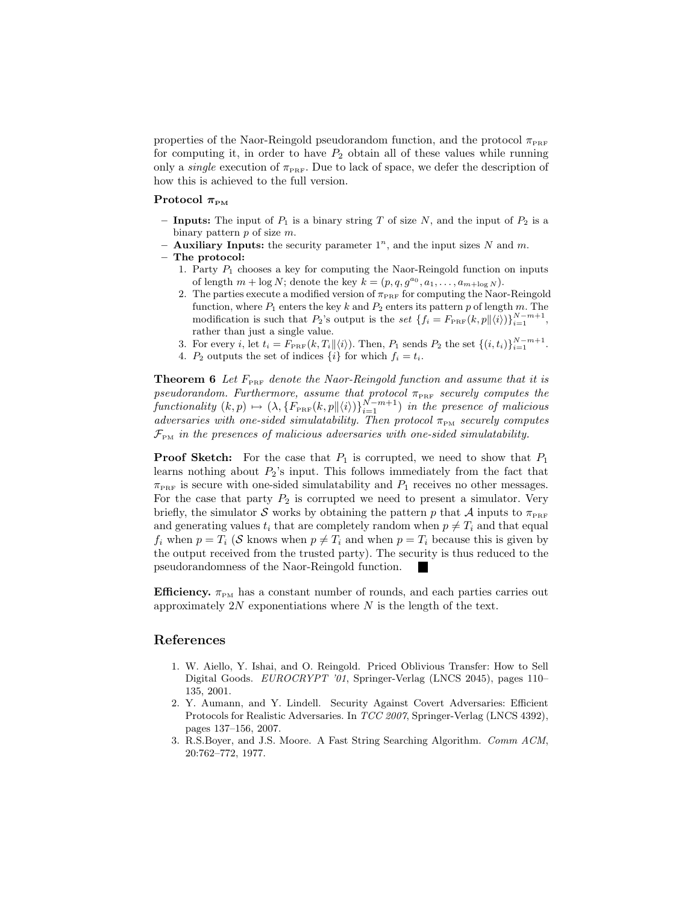properties of the Naor-Reingold pseudorandom function, and the protocol  $\pi_{\text{PRF}}$ for computing it, in order to have  $P_2$  obtain all of these values while running only a *single* execution of  $\pi_{\text{PRF}}$ . Due to lack of space, we defer the description of how this is achieved to the full version.

## Protocol  $\pi_{\text{\tiny PM}}$

- Inputs: The input of  $P_1$  is a binary string T of size N, and the input of  $P_2$  is a binary pattern p of size m.
- Auxiliary Inputs: the security parameter  $1^n$ , and the input sizes N and m.
- The protocol:
	- 1. Party  $P_1$  chooses a key for computing the Naor-Reingold function on inputs of length  $m + \log N$ ; denote the key  $k = (p, q, g^{a_0}, a_1, \ldots, a_{m + \log N})$ .
	- 2. The parties execute a modified version of  $\pi_{\text{PRF}}$  for computing the Naor-Reingold function, where  $P_1$  enters the key k and  $P_2$  enters its pattern p of length m. The modification is such that  $P_2$ 's output is the set  $\{f_i = F_{\text{PRF}}(k, p||\langle i \rangle)\}_{i=1}^{N-m+1}$ , rather than just a single value.
	- 3. For every *i*, let  $t_i = F_{\text{PRF}}(k, T_i || \langle i \rangle)$ . Then,  $P_1$  sends  $P_2$  the set  $\{(i, t_i)\}_{i=1}^{N-m+1}$ .
	- 4.  $P_2$  outputs the set of indices  $\{i\}$  for which  $f_i = t_i$ .

**Theorem 6** Let  $F_{\text{PRF}}$  denote the Naor-Reingold function and assume that it is pseudorandom. Furthermore, assume that protocol  $\pi_{\text{PRF}}$  securely computes the functionality  $(k, p) \mapsto (\lambda, \{F_{\text{PRF}}(k, p||\langle i \rangle)\}_{i=1}^{N-m+1})$  in the presence of malicious adversaries with one-sided simulatability. Then protocol  $\pi_{\text{PM}}$  securely computes  $\mathcal{F}_{\text{PM}}$  in the presences of malicious adversaries with one-sided simulatability.

**Proof Sketch:** For the case that  $P_1$  is corrupted, we need to show that  $P_1$ learns nothing about  $P_2$ 's input. This follows immediately from the fact that  $\pi_{\text{PRF}}$  is secure with one-sided simulatability and  $P_1$  receives no other messages. For the case that party  $P_2$  is corrupted we need to present a simulator. Very briefly, the simulator S works by obtaining the pattern p that A inputs to  $\pi_{\text{PRF}}$ and generating values  $t_i$  that are completely random when  $p \neq T_i$  and that equal  $f_i$  when  $p = T_i$  (S knows when  $p \neq T_i$  and when  $p = T_i$  because this is given by the output received from the trusted party). The security is thus reduced to the pseudorandomness of the Naor-Reingold function. 

**Efficiency.**  $\pi_{\text{PM}}$  has a constant number of rounds, and each parties carries out approximately  $2N$  exponentiations where N is the length of the text.

# References

- 1. W. Aiello, Y. Ishai, and O. Reingold. Priced Oblivious Transfer: How to Sell Digital Goods. EUROCRYPT '01, Springer-Verlag (LNCS 2045), pages 110– 135, 2001.
- 2. Y. Aumann, and Y. Lindell. Security Against Covert Adversaries: Efficient Protocols for Realistic Adversaries. In TCC 2007, Springer-Verlag (LNCS 4392), pages 137–156, 2007.
- 3. R.S.Boyer, and J.S. Moore. A Fast String Searching Algorithm. Comm ACM, 20:762–772, 1977.